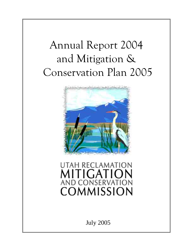# Annual Report 2004 and Mitigation & Conservation Plan 2005



# **UTAH RECLAMATION** UTIGATION **AND CONSERVATION** COMMISSION

July 2005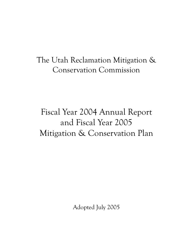# Fiscal Year 2004 Annual Report and Fiscal Year 2005 Mitigation & Conservation Plan

Adopted July 2005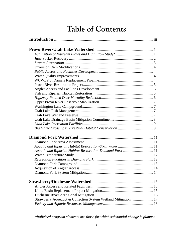# **Table of Contents**

| Aquatic and Riparian Habitat Restoration-Diamond Fork  11      |
|----------------------------------------------------------------|
|                                                                |
|                                                                |
|                                                                |
|                                                                |
|                                                                |
|                                                                |
|                                                                |
|                                                                |
|                                                                |
|                                                                |
| Strawberry Aqueduct & Collection System Wetland Mitigation  17 |
|                                                                |

*\*Italicized program elements are those for which substantial change is planned*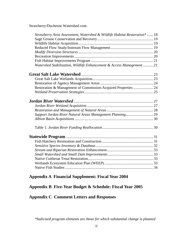Strawberry/Duchesne Watershed cont.

| Strawberry Area Assessment, Watershed & Wildlife Habitat Restoration* 18 |  |
|--------------------------------------------------------------------------|--|
|                                                                          |  |
|                                                                          |  |
|                                                                          |  |
|                                                                          |  |
|                                                                          |  |
|                                                                          |  |
| Watershed Stabilization, Wildlife Enhancement & Access Management  21    |  |
|                                                                          |  |
|                                                                          |  |
|                                                                          |  |
| Restoration & Management of Commission-Acquired Properties  24           |  |
|                                                                          |  |
|                                                                          |  |
|                                                                          |  |
|                                                                          |  |
|                                                                          |  |
|                                                                          |  |
|                                                                          |  |
|                                                                          |  |
|                                                                          |  |
|                                                                          |  |
|                                                                          |  |
|                                                                          |  |
|                                                                          |  |
|                                                                          |  |
|                                                                          |  |

### **Appendix A Financial Supplement: Fiscal Year 2004**

## **Appendix B Five-Year Budget & Schedule: Fiscal Year 2005**

## **Appendix C Comment Letters and Responses**

*\*Italicized program elements are those for which substantial change is planned*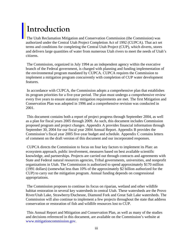# **Introduction**

The Utah Reclamation Mitigation and Conservation Commission (the Commission) was authorized under the Central Utah Project Completion Act of 1992 (CUPCA). That act set terms and conditions for completing the Central Utah Project (CUP), which diverts, stores and delivers large quantities of water from numerous Utah rivers to meet the needs of Utah's citizens.

 The Commission, organized in July 1994 as an independent agency within the executive branch of the Federal government, is charged with planning and funding implementation of the environmental program mandated by CUPCA. CUPCA requires the Commission to implement a mitigation program concurrently with completion of CUP water development features.

 In accordance with CUPCA, the Commission adopts a comprehensive plan that establishes its program priorities for a five-year period. The plan must undergo a comprehensive review every five years to ensure statutory mitigation requirements are met. The first Mitigation and Conservation Plan was adopted in 1996 and a comprehensive revision was conducted in 2001.

 This document contains both a report of project progress through September 2004, as well as a plan for fiscal years 2005 through 2009. As such, this document includes Commission proposed program and project changes. Appendix A provides financial information through September 30, 2004 for our fiscal year 2004 Annual Report. Appendix B provides the Commission's fiscal year 2005 five-year budget and schedule. Appendix C contains letters of comment on the draft version of this document and our incorporated responses.

 CUPCA directs the Commission to focus on four key factors to implement its Plan: an ecosystem approach, public involvement, measures based on best available scientific knowledge, and partnerships. Projects are carried out through contracts and agreements with State and Federal natural resources agencies, Tribal governments, universities, and nonprofit organizations in Utah. The Commission is authorized to spend approximately \$170 million (1991 dollars) (somewhat less than 10% of the approximately \$2 billion authorized for the CUP) to carry out the mitigation program. Annual funding depends on congressional appropriations.

 The Commission proposes to continue its focus on riparian, wetland and other wildlife habitat restoration in several key watersheds in central Utah. These watersheds are the Provo River/Utah Lake, Strawberry/Duchesne, Diamond Fork and Great Salt Lake watersheds. The Commission will also continue to implement a few projects throughout the state that address conservation or restoration of fish and wildlife resources lost to CUP.

 This Annual Report and Mitigation and Conservation Plan, as well as many of the studies and decisions referenced in this document, are available on the Commission's website at www.mitigationcommission.gov.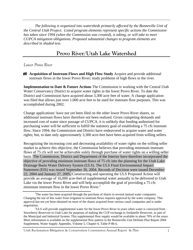*The following is organized into watersheds primarily affected by the Bonneville Unit of the Central Utah Project. Listed program elements represent specific actions the Commission has taken since 1994 (when the Commission was created), is taking, or will take to meet CUPCA mitigation obligations. Proposed substantial changes to program elements are described in shaded text.* 

## **Provo River/Utah Lake Watershed**

#### *Lower Provo River*

**Acquisition of Instream Flows and High Flow Study** Acquire and provide additional instream flows in the lower Provo River; study problems of high flows in the river.

**Implementation to Date & Future Actions** The Commission is working with the Central Utah Water Conservancy District to acquire water rights in the lower Provo River. To date the District and Commission have acquired about 3,300 acre feet of water. A change application was filed that allows just over 1,000 acre feet to be used for instream flow purposes. This was accomplished during 2002.

Change applications<sup>1</sup> have not yet been filed on the other lower Provo River shares, so additional instream flows have therefore not been realized. Given competing demands and increased cost of water since passage of CUPCA, it is unlikely that funding authorized for purchasing water will be sufficient to fulfill the statutory goal of establishing a 75 cfs instream flow. Since 1994, the Commission and District have endeavored to acquire water and water rights; but, to date only approximately 3,300 acre-feet have been acquired from willing sellers.

Recognizing the increasing cost and decreasing availability of water rights on the willing seller market to achieve this objective, the Commission believes that providing minimum instream flows of 75 cfs will not be achievable solely through purchase of water rights on a willing seller basis. The Commission, District and Department of the Interior have therefore incorporated the objective of providing minimum instream flows of 75 cfs into the planning for the Utah Lake Drainage Basin Water Delivery System (ULS). The ULS Final Environmental Impact Statement (EIS) was issued September 30, 2004. Records of Decision were issued December 22, 2004 and January 27, 2005. Constructing and operating the ULS Proposed Action will provide an average of 16,000 acre-feet of supplemental water annually to be delivered to Utah Lake via the lower Provo River and will help accomplish the goal of providing a 75 cfs minimum instream flow in the lower Provo River. $<sup>2</sup>$ </sup>

Utah Reclamation Mitigation & Conservation Commission Annual Report & Plan 1

<sup>&</sup>lt;sup>1</sup>The water has been acquired through the purchase of shares in several mutual water companies. Changing the use of this water from irrigation to instream flows requires approval by the water company. This approval has not yet been obtained on most of the shares acquired from various canal companies and is under negotiation. 2

 $^{2}$ ULS will provide supplemental water for the lower Provo River in years when water is conveyed from Strawberry Reservoir to Utah Lake for purposes of making the CUP exchange to Jordanelle Reservoir, as part of the Municipal and Industrial System. This supplemental flow supply would be available in about 70% of the years. More information is available on the supplemental flow pattern in the Bonneville Unit Definite Plan Report 2004 Supplement, Water Supply Appendix, Volume 5, Chapter 6, Table P-8b-ii.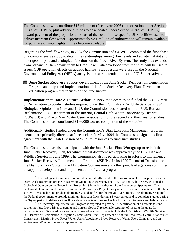The Commission will contribute \$15 million of (fiscal year 2005) authorization under Section 302(a) of CUPCA, plus additional funds to be allocated under Section 202(c) of CUPCA, toward payment of the proportionate share of the cost of those specific ULS facilities used to deliver instream flow water. Approximately \$2.1 million of authorization will remain available for purchase of water rights, if they become available.

Regarding the *high flow study*, in 2004 the Commission and CUWCD completed the first phase of a comprehensive study to determine relationships among flow levels and aquatic habitat and other geomorphic and ecological functions on the Provo River System. The study area extends from Jordanelle Dam downstream to Utah Lake. Data developed from the study will be used to assess CUP operation effects on aquatic habitats. Study results were used in the National Environmental Policy Act (NEPA) analysis to assess potential impacts of ULS alternatives.

**June Sucker Recovery** Support development of the June Sucker Recovery Implementation Program and help fund implementation of the June Sucker Recovery Plan. Develop an education program that focuses on the June sucker.

**Implementation to Date & Future Actions** In 1995, the Commission funded the U.S. Bureau of Reclamation to conduct studies required under the U.S. Fish and Wildlife Service's 1994 Biological Opinion.<sup>3</sup> In 1996 and 1997, the Commission cost-shared with the U.S. Bureau of Reclamation, U.S. Department of the Interior, Central Utah Water Conservancy District (CUWCD) and Provo River Water Users Association for the second and third year of studies. The Commission has contributed \$166,000 toward completion of these studies.

Additionally, studies funded under the Commission's Utah Lake Fish Management program element are primarily directed at June sucker. In May, 1994 the Commission signed its first agreement with the Utah Division of Wildlife Resources to fund such studies.

The Commission has also participated with the June Sucker Flow Workgroup to redraft the June Sucker Recovery Plan, for which a final document was approved by the U.S. Fish and Wildlife Service in June 1999. The Commission also is participating in efforts to implement a June Sucker Recovery Implementation Program (JSRIP).<sup>4</sup> In its 1999 Record of Decision for the Diamond Fork System, the Mitigation Commission and other joint lead agencies committed to support development and implementation of such a program.

<sup>&</sup>lt;sup>3</sup>This Biological Opinion was required in partial fulfillment of the environmental review process for the Deer Creek Reservoir/Jordanelle Reservoir Operating Agreement. The U.S. Fish and Wildlife Service issued a Biological Opinion on the Provo River Project in 1994 under authority of the Endangered Species Act. The Biological Opinion found that operation of the Provo River Project may jeopardize continued existence of the June sucker. A reasonable and prudent alternative was identified for the Provo River Project. The alternative required the Federal government to provide minimum instream flows during a 3-year period and to complete studies during the 3-year period to define various flow-related aspects of June sucker life history requirements and habitat needs. 4

<sup>&</sup>lt;sup>4</sup>The Recovery Implementation Program is expected to provide 1) identification of all threats to June sucker, not just Provo River spawning and nursery flows; 2) reasonable certainty of meeting the goals for participants; and, 3) shared recovery by all stakeholders. Participants include the U.S. Fish and Wildlife Service, U.S. Bureau of Reclamation, Mitigation Commission, Utah Department of Natural Resources, Central Utah Water Conservancy District, Provo River Water Users Association, Provo Reservoir Water Users Company, and an environmental/outdoor interests representative.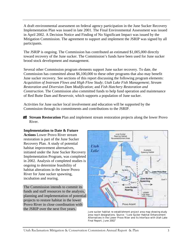A draft environmental assessment on federal agency participation in the June Sucker Recovery Implementation Plan was issued in late 2001. The Final Environmental Assessment was issued in April 2002. A Decision Notice and Finding of No Significant Impact was issued by the Mitigation Commission. The agreement to support and implement the JSRIP was signed by all participants.

The JSRIP is ongoing. The Commission has contributed an estimated \$1,005,000 directly toward recovery of the June sucker. The Commission's funds have been used for June sucker brood stock development and management.

Several other Commission program elements support June sucker recovery. To date, the Commission has committed about \$6,100,000 to these other programs that also may benefit June sucker recovery. See sections of this report discussing the following program elements: *Acquisition of Instream Flows and High Flow Study*; *Utah Lake Fish Management*; *Stream Restoration and Diversion Dam Modification*; and *Fish Hatchery Restoration and Construction*. The Commission also committed funds to help fund operation and maintenance of Red Butte Dam and Reservoir, which supports a population of June sucker.

Activities for June sucker local involvement and education will be supported by the Commission through its commitments and contributions to the JSRIP.

**Stream Restoration** Plan and implement stream restoration projects along the lower Provo River.

#### **Implementation to Date & Future**

**Actions** Lower Provo River stream restoration is part of the June Sucker Recovery Plan. A study of potential habitat improvement alternatives, initiated under the June Sucker Recovery Implementation Program, was completed in 2002. Analysis of completed studies is ongoing to determine feasibility of habitat alterations in the lower Provo River for June sucker spawning, incubation and rearing.

The Commission intends to commit its funds and staff resources to the analysis, planning and implementation of potential projects to restore habitat in the lower Provo River in close coordination with the JSRIP over the next five years.



June sucker habitat re-establishment project area map showing study area reach designations. Source: "June Sucker Habitat Enhancement Alternatives in the Lower Provo River and its Interface with Utah Lake Final Report, June 2002"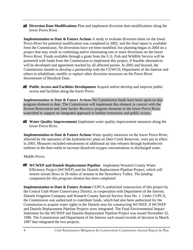**Diversion Dam Modifications** Plan and implement diversion dam modifications along the lower Provo River.

**Implementation to Date & Future Actions** A study to evaluate diversion dams on the lower Provo River for potential modification was completed in 2002, and the final report is available from the Commission. No diversions have yet been modified, but planning began in 2004 on a project that may result in combining and/or eliminating one or more diversions on the lower Provo River. Funds available through a grant from the U.S. Fish and Wildlife Service will be partnered with funds from the Commission to implement this project, if feasible alternatives will be developed and agreement reached by all affected parties. In 2005 and beyond, the Commission intends to develop a partnership with the CUWCD, Department of the Interior and others to rehabilitate, modify or replace other diversion structures on the Provo River downstream of Murdock Dam.

**Public Access and Facilities Development** Acquire and/or develop and improve public access and facilities along the lower Provo.

**Implementation to Date & Future Actions** No Commission funds have been spent on this program element to date. The Commission will implement this element in concert with the *Stream Restoration* and *June Sucker Recovery* program elements in the lower Provo River watershed to support an integrated approach to habitat restoration and public access.

**Water Quality Improvements** Implement water quality improvement measures along the lower Provo River.

**Implementation to Date & Future Actions** Water quality measures on the lower Provo River, affected by the operation of the hydroelectric plant on Deer Creek Reservoir, were put in effect in 2003. Measures included entrainment of additional air into releases through hydroelectric turbines in the dam outlet to increase dissolved oxygen concentrations in discharged water.

#### *Middle Provo*

**WCWEP and Daniels Replacement Pipeline** Implement Wasatch County Water Efficiency Project (WCWEP) and the Daniels Replacement Pipeline Project, which will restore stream flows in 26 miles of streams in the Strawberry Valley. *The funding component for this program element has been completed.*

**Implementation to Date & Future Actions** CUPCA authorized construction of this project by the Central Utah Water Conservancy District, in cooperation with Department of the Interior, Daniels Irrigation Company and Wasatch County Special Service Area No. 1. Under CUPCA, the Commission was authorized to contribute funds, which had also been authorized for the Commission to acquire water rights in the Daniels area for constructing WCWEP, if WCWEP and Daniels Replacement Pipeline Projects were integrated. The Final Environmental Impact Statement for the WCWEP and Daniels Replacement Pipeline Project was issued November 22, 1996. The Commission and Department of the Interior each issued records of decision in March 1997 that integrated the two projects.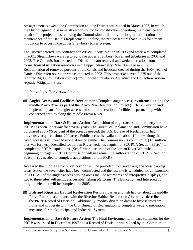An agreement between the Commission and the District was signed in March 1997, in which the District agreed to assume all responsibility for construction, operation, maintenance and repair of the project, thus relieving the Commission of liability for long-term operation and maintenance of the Daniels Replacement Pipeline, the project feature that allows for stream mitigation to occur in the upper Strawberry River system.

The District entered into contracts for WCWEP construction in 1998 and work was completed in 2001. Streamflows were restored to the upper Strawberry River and tributaries in 2001 and 2002. The Commission assisted the District in dam removal and wetland creation from formerly-used irrigation reservoirs in the upper Strawberry River drainage in 2002. Rehabilitation of removed portions of the canals and headcuts created during the 100+ years of Daniels Diversion operation was completed in 2003. This project achieved 9,225 out of the required 34,090 mitigation credits (27%) for the Strawberry Aqueduct and Collection System Aquatic Mitigation Plan.

#### *Provo River Restoration Project*

**Angler Access and Facilities Development** Complete angler access requirements along the middle Provo River as part of the Provo River Restoration Project (PRRP). Develop and implement plans for angler access and similar recreational facilities in partnership with concerned entities along the middle Provo River.

**Implementation to Date & Future Actions** Acquisition of angler access and property for the PRRP has been underway for several years. The Bureau of Reclamation and Commission have purchased about 95 percent of the acreage needed; the U.S. Bureau of Reclamation had previously acquired about 200 acres. Public access is available to about 10 miles along the river; access is still needed along about one mile. The Commission is committing \$1.5 million that was formerly identified for Jordan River wetlands acquisition (CUPCA Section 311(c)) to completing PRRP acquisitions. (See further discussion of the Jordan River Watershed beginning on page 27.) The Commission will use remaining authorization of CUPCA Section 309(a)(4) as needed to complete acquisitions for the PRRP.

Access to the middle Provo River corridor will be provided from seven angler-access parking areas. Six of the seven sites have been constructed and the last site is scheduled for construction in 2006. All of the angler-access parking areas include restrooms and interpretive displays, and two to three sites will include accessible fishing platforms. The Education and Interpretation program element will be completed in 2005.

**Fish and Riparian Habitat Restoration** Restore riparian and fish habitat along the middle Provo River in accordance with the Riverine Habitat Restoration Alternative described in the PRRP Record of Decision. Additionally, modify diversion dams to bypass instream flows and cooperate with the U.S. Bureau of Reclamation to complete wetland mitigation measures for the Municipal and Industrial System.

**Implementation to Date & Future Actions** The Final Environmental Impact Statement for the PRRP was issued in December 1997 and a Record of Decision was signed by the Commission

Utah Reclamation Mitigation & Conservation Commission Annual Report & Plan 5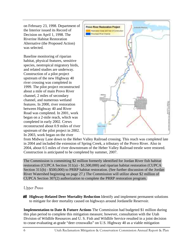on February 23, 1998. Department of the Interior issued its Record of Decision on April 1, 1998. The Riverine Habitat Restoration Alternative (the Proposed Action) was selected.

Baseline monitoring of riparian habitat, physical features, sensitive species, neotropical migratory birds, and related studies are underway. Construction of a pilot project upstream of the new Highway 40 river crossing was completed in 1999. The pilot project reconstructed about a mile of main Provo River channel, 2 miles of secondary channel, and numerous wetland features. In 2000, river restoration between Highway 40 and River Road was completed. In 2001, work began on a 2-mile reach, which was completed in early 2002. Crews reconstructed about 0.9 miles of river upstream of the pilot project in 2002. In 2003, work began on the river



from Midway Lane down to the Heber Valley Railroad crossing. This reach was completed late in 2004 and included the extension of Spring Creek, a tributary of the Provo River. Also in 2004, about 0.5 miles of river downstream of the Heber Valley Railroad trestle were restored. Construction is anticipated to be completed by summer, 2007.

The Commission is committing \$2 million formerly identified for Jordan River fish habitat restoration (CUPCA Section 311(a) - \$1,500,000) and riparian habitat restoration (CUPCA Section 311(b) - \$500,000) to PRRP habitat restoration. (See further discussion of the Jordan River Watershed beginning on page 27.) The Commission will utilize about \$2 million of CUPCA Section 307(2) authorization to complete the PRRP restoration program.

#### *Upper Provo*

**Highway-Related Deer Mortality Reduction** Identify and implement permanent solutions to mitigate for deer mortality caused on highways around Jordanelle Reservoir.

**Implementation to Date & Future Actions** The Commission had budgeted \$1 million during this plan period to complete this mitigation measure; however, consultation with the Utah Division of Wildlife Resources and U. S. Fish and Wildlife Service resulted in a joint decision to cease evaluating at-grade "deer crosswalks" on U.S. Highway 40 as a viable mitigation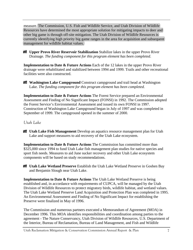measure. The Commission, U.S. Fish and Wildlife Service, and Utah Division of Wildlife Resources have determined the most appropriate solution for mitigating impacts to deer and other big game is through off-site mitigation. The Utah Division of Wildlife Resources is currently identifying high priority big game ranges in the area for acquisition and subsequent management for wildlife habitat values.

**Upper Provo River Reservoir Stabilization** Stabilize lakes in the upper Provo River Drainage. *The funding component for this program element has been completed*.

**Implementation to Date & Future Actions** Each of the 12 lakes in the upper Provo River drainage were rehabilitated and stabilized between 1994 and 1999. Trails and other recreational facilities were also constructed.

**Washington Lake Campground** Construct campground and trail head at Washington Lake. *The funding component for this program element has been completed.* 

**Implementation to Date & Future Actions** The Forest Service prepared an Environmental Assessment and Finding of No Significant Impact (FONSI) in 1992. The Commission adopted the Forest Service's Environmental Assessment and issued its own FONSI in 1997. Construction of Washington Lake Campground began in July of 1997 and was completed in September of 1999. The campground opened in the summer of 2000.

#### *Utah Lake*

**Utah Lake Fish Management** Develop an aquatics resource management plan for Utah Lake and support measures to aid recovery of the Utah Lake ecosystem.

**Implementation to Date & Future Actions** The Commission has committed more than \$325,000 since 1994 to fund Utah Lake fish management plan studies for native species and sport fish needs. Measures to aid June sucker recovery and other Utah Lake ecosystem components will be based on study recommendations.

**Utah Lake Wetland Preserve** Establish the Utah Lake Wetland Preserve in Goshen Bay and Benjamin Slough near Utah Lake.

**Implementation to Date & Future Actions** The Utah Lake Wetland Preserve is being established and, in accordance with requirements of CUPCA, will be managed by the Utah Division of Wildlife Resources to protect migratory birds, wildlife habitat, and wetland values. The Utah Lake Wetland Preserve Land Acquisition and Protection Plan was completed in 1995. An Environmental Assessment and Finding of No Significant Impact for establishing the Preserve were finalized in May of 1996.

The Commission and numerous partners executed a Memorandum of Agreement (MOA) in December 1996. This MOA identifies responsibilities and coordination among parties to the agreement - The Nature Conservancy, Utah Division of Wildlife Resources, U.S. Department of the Interior, Bureau of Reclamation, Bureau of Land Management, and Fish and Wildlife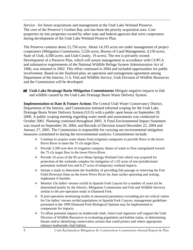Service - for future acquisitions and management at the Utah Lake Wetland Preserve. The core of the Preserve's Goshen Bay unit has been the priority acquisition area. Core properties tie into properties owned by other state and federal agencies that were cooperators during development of the Utah Lake Wetland Preserve Plan.

The Preserve contains about 21,750 acres. About 14,195 acres are under management of project cooperators (Mitigation Commission, 5,526 acres; Bureau of Land Management, 4,150 acres; State of Utah, 4,500 acres; and Utah County, 19 acres). The rest is privately owned. Development of a Preserve Plan, which will assure management in accordance with CUPCA and substantive requirements of the National Wildlife Refuge System Administration Act of 1966, was initiated in 2002. This effort continued in 2004 and included opportunities for public involvement. Based on the finalized plan, an operation and management agreement among Department of the Interior, U.S. Fish and Wildlife Service, Utah Division of Wildlife Resources and the Commission will be developed.

**Utah Lake Drainage Basin Mitigation Commitments** Mitigate negative impacts to fish and wildlife caused by the Utah Lake Drainage Basin Water Delivery System.

**Implementation to Date & Future Actions** The Central Utah Water Conservancy District, Department of the Interior, and Commission initiated informal scoping for the Utah Lake Drainage Basin Water Delivery System (ULS) with a public open house on September 28, 2000. A public scoping meeting regarding water needs and assessments was conducted in October 2001. Planning continued throughout 2003. A Final Environmental Impact Statement was issued on September 30, 2004, and Records of Decision issued December 22, 2004 and January 27, 2005. The Commission is responsible for carrying out environmental mitigation measures committed to during the environmental analysis. Commitments include:

- $\approx$  Continue to acquire water shares from irrigation companies to provide flows in the lower Provo River to meet the 75 cfs target flow.
- ≈ Provide 3,300 acre-feet of irrigation company shares of water to flow unregulated toward the 75 cfs target flow in the lower Provo River.
- ≈ Provide 10 acres of the 85 acre Mona Springs Wetland Unit which was acquired for protection of the wetlands complex for mitigation of 1.03 acres of non-jurisdictional permanent wetland loss and 0.27 acres of temporary wetland impacts.
- ≈ Initiate a study to determine the feasibility of providing fish passage or removing the Fort Field Diversion Dam on the lower Provo River for June sucker spawning and rearing; implement if feasible.
- ≈ Monitor Ute ladies'-tresses orchid in Spanish Fork Canyon for a number of years (to be determined jointly by the District, Mitigation Commission and Fish and Wildlife Service) similar to the pre-operation study in Diamond Fork.
- ≈ If post-operation monitoring results in measured parameters exceeding pre-set critical values for Ute ladies'-tresses orchid populations in Spanish Fork Canyon, management guidelines presented in the 1999 Diamond Fork Biological Opinion may be implemented to compensate for impacts.
- ≈ To offset potential impacts on leatherside chub, Joint-Lead Agencies will support the Utah Division of Wildlife Resources in evaluating population and habitat status, or determining threats and/or identifying conservation actions that could protect and where appropriate enhance leatherside chub habitat.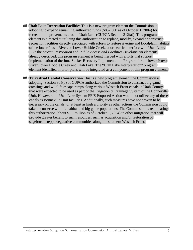**Utah Lake Recreation Facilities** This is a new program element the Commission is adopting to expend remaining authorized funds (\$852,800 as of October 1, 2004) for recreation improvements around Utah Lake (CUPCA Section 312(a)). This program element is directed at utilizing this authorization to replace, modify, expand or construct recreation facilities directly associated with efforts to restore riverine and floodplain habitats of the lower Provo River, or Lower Hobble Creek, at or near its interface with Utah Lake. Like the *Stream Restoration* and *Public Access and Facilities Development* elements already described, this program element is being merged with efforts that support implementation of the June Sucker Recovery Implementation Program for the lower Provo River, lower Hobble Creek and Utah Lake. The "Utah Lake Interpretation" program element identified in prior plans will be integrated as a component of this program element.

**Terrestrial Habitat Conservation** This is a new program element the Commission is adopting. Section 305(b) of CUPCA authorized the Commission to construct big game crossings and wildlife escape ramps along various Wasatch Front canals in Utah County that were expected to be used as part of the Irrigation & Drainage System of the Bonneville Unit. However, the Utah Lake System FEIS Proposed Action would not utilize any of these canals as Bonneville Unit facilities. Additionally, such measures have not proven to be necessary on the canals, or at least as high a priority as other actions the Commission could take to conserve wildlife habitat and big game populations. The Commission is reallocating this authorization (about \$1.1 million as of October 1, 2004) to other mitigation that will provide greater benefit to such resources, such as acquisition and/or restoration of sagebrush-steppe vegetative communities along the southern Wasatch Front.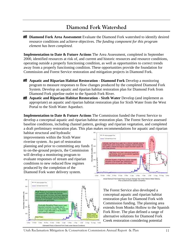## **Diamond Fork Watershed**

**Diamond Fork Area Assessment** Evaluate the Diamond Fork watershed to identify desired resource conditions and achieve objectives. *The funding component for this program element has been completed.* 

**Implementation to Date & Future Actions** The Area Assessment, completed in September 2000, identified resources at risk of, and current and historic resources and resource conditions, operating outside a properly functioning condition, as well as opportunities to correct trends away from a properly functioning condition. These opportunities provide the foundation for Commission and Forest Service restoration and mitigation projects in Diamond Fork.

- **Aquatic and Riparian Habitat Restoration Diamond Fork** Develop a monitoring program to measure responses to flow changes produced by the completed Diamond Fork System. Develop an aquatic and riparian habitat restoration plan for Diamond Fork from Diamond Fork pipeline outlet to the Spanish Fork River.
- **Aquatic and Riparian Habitat Restoration Sixth Water Develop (and implement as** appropriate) an aquatic and riparian habitat restoration plan for Sixth Water from the West Portal to the Sixth Water Aqueduct.

**Implementation to Date & Future Actions** The Commission funded the Forest Service to develop a conceptual aquatic and riparian habitat restoration plan. The Forest Service assessed baseline conditions, including channel pattern, geology and riparian vegetation, and completed a draft preliminary restoration plan. This plan makes recommendations for aquatic and riparian

habitat structural and hydraulic improvements within the Sixth Water riverine system. As part of restoration planning and prior to committing any funds to on-the-ground projects, the Commission will develop a monitoring program to evaluate responses of stream and riparian conditions to new reduced flow regimes produced by the completion of the Diamond Fork water delivery system.





The Forest Service also developed a conceptual aquatic and riparian habitat restoration plan for Diamond Fork with Commission funding. The planning area extends from Monks Hollow to the Spanish Fork River. The plan defined a range of alternative solutions for Diamond Fork Creek restoration considering potential

Utah Reclamation Mitigation & Conservation Commission Annual Report & Plan 11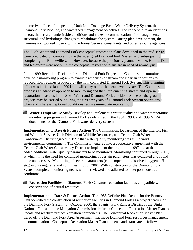interactive effects of the pending Utah Lake Drainage Basin Water Delivery System, the Diamond Fork Pipeline, and watershed management objectives. The conceptual plan identifies factors that created undesirable conditions and makes recommendations for management, structural, and hydrologic changes to rehabilitate the system. During plan development, the Commission worked closely with the Forest Service, consultants, and other resource agencies.

The Sixth Water and Diamond Fork conceptual restoration plans developed in the mid-1990s were predicated on completing the then-designed Diamond Fork System and subsequently completing the Bonneville Unit. However, because the previously planned Monks Hollow Dam and Reservoir were not built, the conceptual restoration plans are in need of re-analysis.

In the 1999 Record of Decision for the Diamond Fork Project, the Commission committed to develop a monitoring program to evaluate responses of stream and riparian conditions to reduced flow regimes produced by the now completed Diamond Fork System. This planning effort was initiated late in 2004 and will carry on for the next several years. The Commission proposes an adaptive approach to monitoring and then implementing stream and riparian restoration measures in the Sixth Water and Diamond Fork corridors. Some on-the-ground projects may be carried out during the first few years of Diamond Fork System operations, when and where exceptional conditions require immediate intervention.

**Water Temperature Study** Develop and implement a water quality and water temperature monitoring program in Diamond Fork as identified in the 1984, 1990, and 1999 NEPA documents for the Diamond Fork water delivery system.

**Implementation to Date & Future Actions** The Commission, Department of the Interior, Fish and Wildlife Service, Utah Division of Wildlife Resources, and Central Utah Water Conservancy District agreed in 1997 that water quality monitoring was still a valid environmental commitment. The Commission entered into a cooperative agreement with the Central Utah Water Conservancy District to implement the program in 1997 and at that time added additional water quality parameters to be monitored. Monitoring continued through 2001, at which time the need for continued monitoring of certain parameters was evaluated and found to be unnecessary. Monitoring of several parameters (e.g. temperature, dissolved oxygen, pH etc.) occurs regularly and continues through 2004. With construction of the Diamond Fork System complete, monitoring needs will be reviewed and adjusted to meet post-construction conditions.

**Recreation Facilities in Diamond Fork** Construct recreation facilities compatible with conservation of natural resources.

**Implementation to Date & Future Actions** The 1988 Definite Plan Report for the Bonneville Unit identified the construction of recreation facilities in Diamond Fork as a project feature of the Diamond Fork System. In October 2000, the Spanish Fork Ranger District of the Uinta National Forest and the Mitigation Commission drafted a Conceptual Recreation Master Plan to update and reaffirm project recreation components. The Conceptual Recreation Master Plan tiered off the Diamond Fork Area Assessment that made Diamond Fork resources management recommendations. Conceptual Recreation Master Plan elements and status are as follows: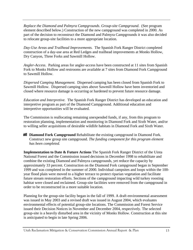*Replace the Diamond and Palmyra Campgrounds*. *Group-site Campground*. (See program element described below.) Construction of the new campground was completed in 2000. As part of the decision to reconstruct the Diamond and Palmyra Campgrounds it was also decided to relocate group-site facilities to a more appropriate location.

*Day-Use Areas and Trailhead Improvements.* The Spanish Fork Ranger District completed construction of a day-use area at Red Ledges and trailhead improvements at Monks Hollow, Dry Canyon, Three Forks and Sawmill Hollow.

*Angler-Access*. Parking areas for angler-access have been constructed at 11 sites from Spanish Fork to Monks Hollow and restrooms are available at 7 sites from Diamond Fork Campground to Sawmill Hollow.

*Dispersed Camping Management.* Dispersed camping has been closed from Spanish Fork to Sawmill Hollow. Dispersed camping sites above Sawmill Hollow have been inventoried and closed where resource damage is occurring or hardened to prevent future resource damage.

*Education and Interpretive.* The Spanish Fork Ranger District has developed an education and interpretive program as part of the Diamond Campground. Additional education and interpretive opportunities will be evaluated.

The Commission is reallocating remaining unexpended funds, if any, from this program to restoration planning, implementation and monitoring in Diamond Fork and Sixth Water, and/or to willing seller acquisitions of desirable wildlife habitats in Diamond Fork and Sixth Water.

**Diamond Fork Campground** Rehabilitate the existing campground in Diamond Fork. Construct new group site campground. *The funding component for this program element has been completed.* 

**Implementation to Date & Future Actions** The Spanish Fork Ranger District of the Uinta National Forest and the Commission issued decisions in December 1998 to rehabilitate and combine the existing Diamond and Palmyra campgrounds, yet reduce the capacity by approximately 33 percent. Construction on the Diamond Fork campground began in September 1999 and was completed in the summer of 2000. Individual campsites and loops within the 100 year flood plain were moved to a higher terrace to protect riparian vegetation and facilitate future stream restoration efforts. Sections of the campground impacting wild turkey roosting habitat were closed and reclaimed. Group-site facilities were removed from the campground in order to be reconstructed in a more suitable location.

Planning for the group-site facility began in the fall of 1999. A draft environmental assessment was issued in May 2003 and a revised draft was issued in August 2004, which evaluates environmental effects of potential group-site locations. The Commission and Forest Service issued their Decision Notices in November and December 2004, respectively. The selected group-site is a heavily disturbed area in the vicinity of Monks Hollow. Construction at this site is anticipated to begin in late Spring 2006.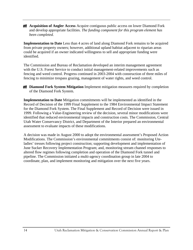**Acquisition of Angler Access** Acquire contiguous public access on lower Diamond Fork and develop appropriate facilities. *The funding component for this program element has been completed.* 

**Implementation to Date** Less than 4 acres of land along Diamond Fork remains to be acquired from private property owners; however, additional upland habitat adjacent to riparian areas could be acquired if an owner indicated willingness to sell and appropriate funding were identified.

The Commission and Bureau of Reclamation developed an interim management agreement with the U.S. Forest Service to conduct initial management-related improvements such as fencing and weed control. Progress continued in 2003-2004 with construction of three miles of fencing to minimize trespass grazing, management of water rights, and weed control.

**Diamond Fork System Mitigation** Implement mitigation measures required by completion of the Diamond Fork System.

**Implementation to Date** Mitigation commitments will be implemented as identified in the Record of Decision of the 1999 Final Supplement to the 1984 Environmental Impact Statement for the Diamond Fork System. The Final Supplement and Record of Decision were issued in 1999. Following a Value-Engineering review of the decision, several minor modifications were identified that reduced environmental impacts and construction costs. The Commission, Central Utah Water Conservancy District, and Department of the Interior prepared an environmental assessment to evaluate impacts of these modifications.

A decision was made in August 2000 to adopt the environmental assessment's Proposed Action Modifications. The Commission's environmental commitments consist of: monitoring Uteladies' tresses following project construction; supporting development and implementation of June Sucker Recovery Implementation Program; and, monitoring stream channel responses to altered flow regimes following completion and operation of the Diamond Fork tunnel and pipeline. The Commission initiated a multi-agency coordination group in late 2004 to coordinate, plan, and implement monitoring and mitigation over the next five years.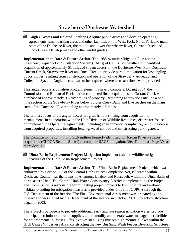## **Strawberry/Duchesne Watershed**

**Angler Access and Related Facilities** Acquire public access and develop operating agreements, small parking areas and other facilities on the West Fork, North Fork and main stem of the Duchesne River, the middle and lower Strawberry River, Currant Creek and Rock Creek. Develop maps and other useful guides.

**Implementation to Date & Future Actions** The 1988 Aquatic Mitigation Plan for the Strawberry Aqueduct and Collection System (SACS) of CUP's Bonneville Unit identified acquisition of approximately 51 miles of stream access on the Duchesne, West Fork Duchesne, Currant Creek, Strawberry River and Rock Creek to provide partial mitigation for lost angling opportunities resulting from construction and operation of the Strawberry Aqueduct and Collection System. Angler access was to be acquired where instream flows were provided.

This angler access acquisition program element is nearly complete. During 2004, the Commission and Bureau of Reclamation completed final acquisitions on Currant Creek with the purchase of approximately 0.5 river miles of property. Remaining acquisitions include a onemile section on the Strawberry River below Soldier Creek Dam, and five reaches on the main stem of the Duchesne River totaling approximately 1.5 miles.

The primary focus of the angler-access program is now shifting from acquisition to management. In cooperation with the Utah Division of Wildlife Resources, efforts are focused on implementing Operating Agreements, including environmental compliance, removing debris from acquired properties, installing fencing, weed control and constructing parking areas.

The Commission is committing \$1.5 million formerly identified for Jordan River wetlands acquisition (CUPCA Section  $311(c)$ ) to complete SACS mitigation. (See Table 1 on Page 30 for more details).

**Uinta Basin Replacement Project Mitigation** Implement fish and wildlife mitigation features of the Uinta Basin Replacement Project.

**Implementation to Date & Future Actions** The Uinta Basin Replacement Project, which was authorized by Section 203 of the Central Utah Project Completion Act, is located within Duchesne County near the towns of Altamont, Upalco, and Roosevelt, within the Uinta Basin of northeastern Utah. The Central Utah Water Conservancy District is implementing the Project. The Commission is responsible for mitigating project impacts to fish, wildlife and wetland habitats. Funding for mitigation measures is provided under Title II of CUPCA through the U.S. Department of the Interior. The Final Environmental Assessment was prepared by the District and was signed by the Department of the Interior in October 2001. Project construction began in 2003.

The Project's purpose is to provide additional early and late season irrigation water, provide municipal and industrial water supplies, and to modify and operate water management facilities for environmental purposes. This involves stabilizing thirteen high mountain lakes within the High Uintas Wilderness Area, constructing the new Big Sand Wash Feeder Diversion Structure

Utah Reclamation Mitigation & Conservation Commission Annual Report & Plan 15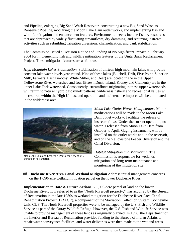and Pipeline, enlarging Big Sand Wash Reservoir, constructing a new Big Sand Wash-to-Roosevelt Pipeline, modifying the Moon Lake Dam outlet works, and implementing fish and wildlife mitigation and enhancement features. Environmental needs include fishery resources that are depressed by widely fluctuating streamflows, dry damming, and recurring instream activities such as rebuilding irrigation diversions, channelization, and bank stabilization.

The Commission issued a Decision Notice and Finding of No Significant Impact in February 2004 for implementing fish and wildlife mitigation features of the Uinta Basin Replacement Project. These mitigation features are as follows:

*High Mountain Lakes Stabilization.* Stabilization of thirteen high mountain lakes will provide constant lake water levels year-round. Nine of these lakes (Bluebell, Drift, Five Point, Superior, Milk, Farmers, East Timothy, White Miller, and Deer) are located in the in the Upper Yellowstone River watershed and four (Brown Duck, Island, Kidney and Clements) are in the upper Lake Fork watershed. Consequently, streamflows originating in these upper watersheds will return to natural hydrologic runoff patterns, wilderness fishery and recreational values will be restored within the High Uintas, and operation and maintenance impacts will be eliminated in the wilderness area.



Moon Lake Dam and Reservoir. Photo courtesy of U.S. Bureau of Reclamation

*Moon Lake Outlet Works Modifications.* Minor modifications will be made to the Moon Lake Dam outlet works to facilitate the release of instream flows. Under the current operation, no water is released from Moon Lake Dam from October to April. Gaging instruments will be installed on the outlet works and in the reservoir, and on the Yellowstone Feeder Diversion and the Canal Diversion.

*Habitat Mitigation and Monitoring.* The Commission is responsible for wetlands mitigation and long-term maintenance and monitoring of the mitigation site.

**Duchesne River Area Canal Wetland Mitigation** Address initial management concerns on the 1,090-acre wetland mitigation parcel on the lower Duchesne River.

**Implementation to Date & Future Actions** A 1,090-acre parcel of land on the lower Duchesne River, now referred to as the "North Riverdell property," was acquired by the Bureau of Reclamation in the late 1980s as wetland mitigation for the Duchesne River Area Canal Rehabilitation Project (DRACR), a component of the Starvation Collection System, Bonneville Unit, CUP. The North Riverdell properties were to be managed by the U.S. Fish and Wildlife Service as part of the Ouray Wildlife Refuge. However, the U.S. Fish and Wildlife Service was unable to provide management of these lands as originally planned. In 1996, the Department of the Interior and Bureau of Reclamation provided funding to the Bureau of Indian Affairs to repair water conveyance facilities, and water deliveries were then made to the wetland areas.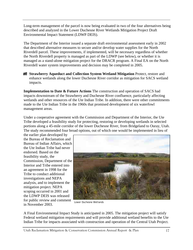Long-term management of the parcel is now being evaluated in two of the four alternatives being described and analyzed in the Lower Duchesne River Wetlands Mitigation Project Draft Environmental Impact Statement (LDWP DEIS).

The Department of the Interior issued a separate draft environmental assessment early in 2002 that described alternative measures to secure and/or develop water supplies for the North Riverdell parcel. These improvements, if implemented, will be necessary regardless of whether the North Riverdell property is managed as part of the LDWP (see below), or whether it is managed as a stand-alone mitigation project for the DRACR program. A Final EA on the North Riverdell water system improvements and decision may be completed in 2005.

**Strawberry Aqueduct and Collection System Wetland Mitigation Protect, restore and** enhance wetlands along the lower Duchesne River corridor as mitigation for SACS wetland impacts.

**Implementation to Date & Future Actions** The construction and operation of SACS had impacts downstream of the Strawberry and Duchesne River confluence, particularly affecting wetlands and other resources of the Ute Indian Tribe. In addition, there were other commitments made to the Ute Indian Tribe in the 1960s that promised development of six waterfowl management areas.

Under a cooperative agreement with the Commission and Department of the Interior, the Ute Tribe developed a feasibility study for protecting, restoring or developing wetlands in selected portions along a 45-mile corridor of the lower Duchesne River, from Bridgeland to Ouray, Utah. The study recommended four broad options, out of which one would be implemented in lieu of

the earlier plan developed by the Bureau of Reclamation and Bureau of Indian Affairs, which the Ute Indian Tribe had never endorsed. Based on the feasibility study, the Commission, Department of the Interior and Tribe entered into an agreement in 1998 for the Tribe to conduct additional investigations and NEPA analysis, and to implement the mitigation project. NEPA scoping occurred in 2001 and the LDWP DEIS was released for public review and comment in November 2003.



Lower Duchesne Wetlands

A Final Environmental Impact Study is anticipated in 2005. The mitigation project will satisfy Federal wetland mitigation requirements and will provide additional wetland benefits to the Ute Indian Tribe for impacts associated with construction and operation of the Central Utah Project.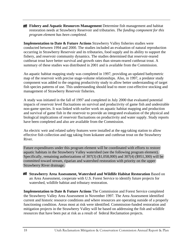**Fishery and Aquatic Resources Management** Determine fish management and habitat restoration needs at Strawberry Reservoir and tributaries. *The funding component for this program element has been completed.* 

**Implementation to Date & Future Actions Strawberry Valley fisheries studies were** conducted between 1994 and 2000. The studies included an evaluation of natural reproduction occurring in Strawberry Reservoir and its tributaries, food supply and its ability to support the fishery, and reservoir community dynamics. The studies determined that reservoir-reared cutthroat trout have better survival and growth rates than stream-reared cutthroat trout. A summary of these studies was distributed in 2001 and is available from the Commission.

An aquatic habitat mapping study was completed in 1997, providing an updated bathymetric map of the reservoir with precise stage-volume relationships. Also, in 1997, a predator study component was added to the ongoing productivity study to allow better understanding of target fish species patterns of use. This understanding should lead to more cost-effective stocking and management of Strawberry Reservoir fisheries.

A study was initiated in the fall of 1997 and completed in July 2000 that evaluated potential impacts of reservoir level fluctuations on survival and productivity of game fish and undesirable non-game species. It was linked with earlier work on aquatic habitat mapping and production and survival of game fish in the reservoir to provide an integrated evaluation of the physical and biological implications of reservoir fluctuations on productivity and water supply. Study reports have been completed and also are available from the Commission.

An electric weir and related safety features were installed at the egg-taking station to allow effective fish collection and egg taking from kokanee and cutthroat trout on the Strawberry River.

Future expenditures under this program element will be coordinated with efforts to restore aquatic habitats in the Strawberry Valley watershed (see the following program element). Specifically, remaining authorizations of 307(3) (\$1,058,000) and 307(4) (\$951,300) will be committed toward stream, riparian and watershed restoration with priority on the upper Strawberry River drainage.

**Strawberry Area Assessment, Watershed and Wildlife Habitat Restoration Based on** an Area Assessment, cooperate with U.S. Forest Service to identify future projects for watershed, wildlife habitat and tributary restoration.

**Implementation to Date & Future Actions** The Commission and Forest Service completed the Strawberry Valley Area Assessment in November 1997. The Area Assessment identified current and historic resource conditions and where resources are operating outside of a properly functioning condition. Areas most at risk were identified. Commission-funded restoration and mitigation projects in the Strawberry Valley will be based on addressing the fish and wildlife resources that have been put at risk as a result of federal Reclamation projects.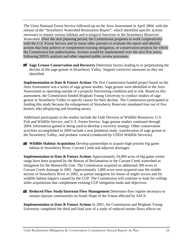The Uinta National Forest Service followed-up on the Area Assessment in April 2004, with the release of the "Strawberry Watershed Restoration Report", which identified specific actions necessary to restore various habitats and ecological functions in the Strawberry Reservoir Watershed. Over the next planning period, the Commission proposes to work cooperatively with the U.S. Forest Service and its many other partners to evaluate the report and identify actions that help achieve or complement existing mitigation, or conservation projects for which the Commission has authorization. Actions would be implemented over the next five years, following NEPA analysis and other required public review processes.

**Sage Grouse Conservation and Recovery** Determine factors leading to or perpetuating the decline of the sage grouse in Strawberry Valley. Support corrective measures as they are identified.

**Implementation to Date & Future Actions** The first Commission-funded project based on the Area Assessment was a series of sage grouse studies. Sage grouse were identified in the Area Assessment as operating outside of a properly functioning condition and at risk. Based on this assessment, the Commission funded Brigham Young University to conduct studies of sage grouse in Strawberry Valley to specify causes for their decline. The Commission participated in funding this study because the enlargement of Strawberry Reservoir inundated four out of five historic leks (displaying and breeding areas).

Additional participants in the studies include the Utah Division of Wildlife Resources, U.S. Fish and Wildlife Service, and U.S. Forest Service. Sage grouse studies continued through 2004. Information gained is being used to develop a recovery strategy. Other conservation activities accomplished in 2004 include a nest predation study, translocation of sage grouse to the Strawberry Valley, and predator control (conducted by USDA Wildlife Services).

**Wildlife Habitat Acquisition** Develop partnerships to acquire high priority big game habitat in Strawberry River, Currant Creek and adjacent drainages.

**Implementation to Date & Future Actions** Approximately 24,000 acres of big game winter range have been acquired by the Bureau of Reclamation in the Currant Creek watershed as mitigation for the Bonneville Unit. The Commission acquired an additional 300 acres in Currant Creek drainage in 2001. Approximately 1,800 acres were acquired near the middle section of Strawberry River in 2002, as partial mitigation for losses of angler access and for wildlife habitat impacts caused by the CUP. The Commission will continue to look for willingseller acquisitions that complement existing CUP mitigation lands and objectives.

**Reduced Flow Study/Instream Flow Management** Determine flow regime necessary to sustain riparian communities on South Slope of the Uintas affected by SACS.

**Implementation to Date & Future Actions** In 2001, the Commission and Brigham Young University completed the third and final year of a study of reduced stream flows effects on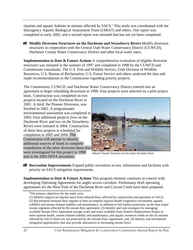riparian and aquatic habitats in streams affected by SACS.<sup>5</sup> This study was coordinated with the Interagency Aquatic Biological Assessment Team (IABAT) and others. One report was completed in early 2002, and a second report was initiated that has not yet been completed.

**Modify Diversion Structures on the Duchesne and Strawberry Rivers Modify diversion** structures in cooperation with the Central Utah Water Conservancy District (CUWCD), Duchesne County Water Conservancy District and other local water users.

**Implementation to Date & Future Actions** A comprehensive evaluation of eligible diversion structures was initiated in the summer of 1997 and completed in 1998 by the CUWCD and Commission consultants. The U.S. Fish and Wildlife Service, Utah Division of Wildlife Resources, U.S. Bureau of Reclamation, U.S. Forest Service and others analyzed the data and made recommendations to the Commission regarding priority projects.

The Commission, CUWCD, and Duchesne Water Conservancy District entered into an agreement to begin rebuilding diversions in 1999. Four projects were selected on a pilot project

basis. Construction was completed on two projects located on the Duchesne River in 2001. A third, the Pioneer Diversion, was finished in 2002. A programmatic environmental assessment was completed in 2003. Four additional projects (two on the Duchesne River and two on the Strawberry River) were initiated in 2004. Construction of these four projects is scheduled for completion in 2005 and 2006. The Commission will attempt to identify additional sources of funds to complete remediation of the other diversion dams that were investigated for this project in 1998 and in the 2003 NEPA document.



Rebuilt Pioneer Diversion on the lower Duchesne River

**Recreation Improvements** Expand public recreation access, information and facilities with priority on SACS mitigation requirements.

**Implementation to Date & Future Actions** This program element continues in concert with developing Operating Agreements for angler access corridors. Preliminary draft operating agreements for the West Fork of the Duchesne River and Currant Creek have been prepared.

<sup>&</sup>lt;sup>5</sup>The primary objectives for the study were:

<sup>(1)</sup> Identify impacts on riparian areas from reduced flows affected by construction and operation of SACS;

<sup>(2)</sup> Recommend instream flow regimes to best accomplish riparian health (vegetative recruitment, aquatic wildlife) and stream channel stability and maintenance, in addition to fish habitat protection, on the four major stream segments affected by the stream flow agreement; (3) Identify and rank strategies for managing available Stream Flow Agreement storage water and water available from Daniel's Replacement Project to meet riparian health, stream channel stability and maintenance, and aquatic resources needs on the six streams affected by SACS which are not protected by the Stream Flow Agreement; and, (4) Identify and recommend mitigation opportunities that also provide alternatives to increasing stream flows.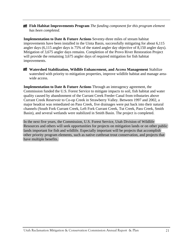**Fish Habitat Improvements Program** *The funding component for this program element has been completed.* 

**Implementation to Date & Future Actions** Seventy-three miles of stream habitat improvements have been installed in the Uinta Basin, successfully mitigating for about 6,115 angler days (6,115 angler days is 75% of the stated angler day objective of 8,150 angler days). Mitigation of 3,675 angler days remains. Completion of the Provo River Restoration Project will provide the remaining 3,675 angler days of required mitigation for fish habitat improvements.

**Watershed Stabilization, Wildlife Enhancement, and Access Management Stabilize** watershed with priority to mitigation properties, improve wildlife habitat and manage areawide access.

**Implementation to Date & Future Actions** Through an interagency agreement, the Commission funded the U.S. Forest Service to mitigate impacts to soil, fish habitat and water quality caused by abandonment of the Currant Creek Feeder Canal from tributaries above Currant Creek Reservoir to Co-op Creek in Strawberry Valley. Between 1997 and 2002, a major headcut was remediated on Pass Creek, five drainages were put back into their natural channels (South Fork Currant Creek, Left Fork Currant Creek, Tut Creek, Pass Creek, Smith Basin), and several wetlands were stabilized in Smith Basin. The project is completed.

In the next five years, the Commission, U.S. Forest Service, Utah Division of Wildlife Resources and others will seek opportunities for projects on mitigation lands or on other public lands important for fish and wildlife. Especially important will be projects that accomplish other priority program elements, such as native cutthroat trout conservation, and projects that have multiple benefits.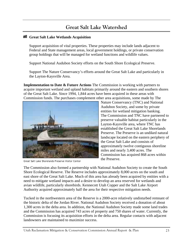## **Great Salt Lake Watershed**

#### **Great Salt Lake Wetlands Acquisition**

Support acquisition of vital properties. These properties may include lands adjacent to Federal and State management areas, local government holdings, or private conservation group holdings that will be managed for wetland functions and wildlife values.

Support National Audubon Society efforts on the South Shore Ecological Preserve.

Support The Nature Conservancy's efforts around the Great Salt Lake and particularly in the Layton-Kaysville Area.

**Implementation to Date & Future Actions** The Commission is working with partners to acquire important wetland and upland habitats primarily around the eastern and southern shores of the Great Salt Lake. Since 1994, 1,844 acres have been acquired in these areas with Commission funds. The purchases complement other area acquisitions, some made by The



Great Salt Lake Shorelands Preserve Visitor Center

Nature Conservancy (TNC) and National Audubon Society, and some by private entities for wetland mitigation banking. The Commission and TNC have partnered to preserve valuable habitat particularly in the Layton-Kaysville area, where TNC has established the Great Salt Lake Shorelands Preserve. The Preserve is an undiked natural landscape located on the eastern periphery of the Great Salt Lake and consists of approximately twelve contiguous shoreline miles and nearly 3,400 acres. The Commission has acquired 868 acres within the Preserve.

The Commission also formed a partnership with National Audubon Society to create the South Shore Ecological Reserve. The Reserve includes approximately 8,000 acres on the south and east shore of the Great Salt Lake. Much of this area has already been acquired by entities with a need to mitigate wetland impacts and a desire to develop an area reserved for wetlands and avian wildlife, particularly shorebirds. Kennecott Utah Copper and the Salt Lake Airport Authority acquired approximately half the area for their respective mitigation needs.

Tucked in the northwestern area of the Reserve is a 2000-acre relatively undisturbed remnant of the historic delta of the Jordan River. National Audubon Society received a donation of about 1,300 acres in the delta area. In addition, the National Audubon Society made some land trades and the Commission has acquired 743 acres of property and 750 shares of water. Currently, the Commission is focusing its acquisition efforts in the delta area. Regular contacts with adjacent landowners are maintained to maximize success.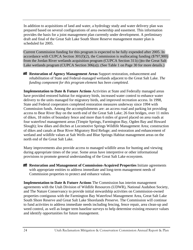In addition to acquisitions of land and water, a hydrology study and water delivery plan was prepared based on several configurations of area ownership and easement. This information provides the basis for a joint management plan currently under development. A preliminary draft and final of the Great Salt Lake South Shore Reserve management master plan is scheduled for 2005.

Current Commission funding for this program is expected to be fully expended after 2005. In accordance with CUPCA Section  $301(f)(2)$ , the Commission is reallocating funding (\$797,900) from the Jordan River wetlands acquisition program (CUPCA Section 311(c))to the Great Salt Lake wetlands program (CUPCA Section 306(a)). (See Table 1 on Page 30 for more details.)

**Restoration of Agency Management Areas** Support restoration, enhancement and rehabilitation of State and Federal-managed wetlands adjacent to the Great Salt Lake. *The funding component for this program element has been completed.* 

**Implementation to Date & Future Actions** Activities at State and Federally managed areas have provided restored habitat for migratory birds, increased water control to enhance water delivery to the units managed for migratory birds, and improved recreation access. In 1998, State and Federal cooperators completed restoration measures underway since 1994 with Commission funds. Among the accomplishments are: an access road and parking lot providing access to Bear River Bay on the north end of the Great Salt Lake; 26 foot bridges, over 11 miles of dikes, 18 miles of boundary fence and more than 6 miles of gravel placed on area roads at four waterfowl management areas (Timpie Springs, Farmington Bay, Ogden Bay and Howard Slough); low dikes and ditches at Locomotive Springs Wildlife Management Area; construction of dikes and canals at Bear River Migratory Bird Refuge; and restoration and enhancement of wetland and wildlife values at Salt Wells and Blue Springs Habitat management areas on the north end of the Great Salt Lake.

Many improvements also provide access to managed wildlife areas for hunting and viewing during appropriate times of the year. Some areas have interpretive or other informational provisions to promote general understanding of the Great Salt Lake ecosystem.

**Restoration and Management of Commission-Acquired Properties** Initiate agreements with appropriate entities to address immediate and long-term management needs of Commission properties to protect and enhance values.

**Implementation to Date & Future Actions** The Commission has interim management agreements with the Utah Division of Wildlife Resources (UDWR), National Audubon Society, and The Nature Conservancy to provide initial stewardship activities on Commission-owned properties contiguous with the Farmington Bay Waterfowl Management Area, Great Salt Lake South Shore Reserve and Great Salt Lake Shorelands Preserve. The Commission will continue to fund activities to address immediate needs including fencing, fence repair, area clean-up and weed control, as well as longer term baseline surveys to help determine existing resource values and identify opportunities for future management.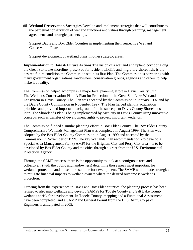**Wetland Preservation Strategies** Develop and implement strategies that will contribute to the perpetual conservation of wetland functions and values through planning, management agreements and strategic partnerships.

Support Davis and Box Elder Counties in implementing their respective Wetland Conservation Plans.

Support development of wetland plans in other strategic areas.

**Implementation to Date & Future Actions** The vision of a wetland and upland corridor along the Great Salt Lake shoreline, preserved for resident wildlife and migratory shorebirds, is the desired future condition the Commission set in its first Plan. The Commission is partnering with many government organizations, landowners, conservation groups, agencies and others to help make it a reality.

The Commission helped accomplish a major local planning effort in Davis County with The Wetlands Conservation Plan: A Plan for Protection of the Great Salt Lake Wetlands Ecosystem in Davis County. The Plan was accepted by the Commission in January 1997 and by the Davis County Commission in November 1997. The Plan helped identify acquisition priorities and provided important background for the subsequent Davis County Shorelands Plan. The Shorelands Plan is being implemented by each city in Davis County using innovative concepts such as transfer of development rights to protect important wetlands.

The Commission funded a similar planning effort in Box Elder County. The Box Elder County Comprehensive Wetlands Management Plan was completed in August 1999. The Plan was adopted by the Box Elder County Commission in August 1999 and accepted by the Commission in November of 1999. The key Wetlands Plan recommendation - to develop a Special Area Management Plan (SAMP) for the Brigham City and Perry City area – is to be developed by Box Elder County and the cities through a grant from the U.S. Environmental Protection Agency.

Through the SAMP process, there is the opportunity to look at a contiguous area and collectively (with the public and landowners) determine those areas most important for wetlands protection and those more suitable for development. The SAMP will include strategies to mitigate financial impacts to wetland owners where the desired outcome is wetlands protection.

Drawing from the experiences in Davis and Box Elder counties, the planning process has been refined to also map wetlands and develop SAMPs for Tooele County and Salt Lake County wetlands at risk for development. In Tooele County, mapping and a Functional Assessment have been completed, and a SAMP and General Permit from the U. S. Army Corps of Engineers is anticipated in 2005.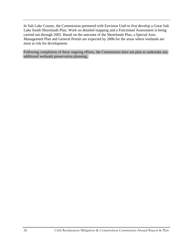In Salt Lake County, the Commission partnered with Envision Utah to first develop a Great Salt Lake South Shorelands Plan. Work on detailed mapping and a Functional Assessment is being carried out through 2005. Based on the outcome of the Shorelands Plan, a Special Area Management Plan and General Permit are expected by 2006 for the areas where wetlands are most at risk for development.

Following completion of these ongoing efforts, the Commission does not plan to undertake any additional wetlands preservation planning.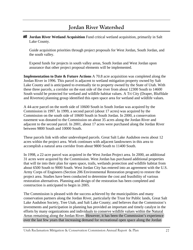## **Jordan River Watershed**

**Jordan River Wetland Acquisition** Fund critical wetland acquisition, primarily in Salt Lake County.

Guide acquisition priorities through project proposals for West Jordan, South Jordan, and the south valley.

Expend funds for projects in south valley areas, South Jordan and West Jordan upon assurance that other project proposal elements will be implemented.

**Implementation to Date & Future Actions** A 70.8 acre acquisition was completed along the Jordan River in 1996. This parcel is adjacent to wetland mitigation property owned by Salt Lake County and is anticipated to eventually tie to property owned by the State of Utah. With these three parcels, a corridor on the east side of the river from about 12300 South to 14600 South would be protected for wetland and wildlife habitat values. A Tri City (Draper, Bluffdale and Riverton) planning group identified this open space area for wetland and wildlife values.

A 44-acre parcel on the north side of 10600 South in South Jordan was acquired by the Commission in 1997. In 1999, a second parcel (about 17 acres) was acquired by the Commission on the south side of 10600 South in South Jordan. In 2000, a conservation easement was donated to the Commission on about 35 acres along the Jordan River and adjacent to the second parcel. In 2001, about 17 acres were purchased along the Jordan River between 9800 South and 10000 South.

These parcels link with other undeveloped parcels. Great Salt Lake Audubon owns about 12 acres within the project area. Work continues with adjacent landowners in this area to accomplish a natural area corridor from about 9800 South to 11400 South.

In 1998, a 22-acre parcel was acquired in the West Jordan Project area. In 2000, an additional 31 acres were acquired by the Commission. West Jordan has purchased additional properties that will tie into their plan for open space, trails, wetlands protection and wildlife habitat from about 6500 South to 9000 South. West Jordan City has entered into an agreement with the U.S. Army Corps of Engineers (Section 206 Environmental Restoration program) to restore the project area. Studies have been conducted to determine the cost and feasibility of various restoration alternatives. Planning and design of the restoration has been completed and construction is anticipated to begin in 2005.

The Commission is pleased with the success achieved by the municipalities and many conservation partners along the Jordan River, particularly the Trust for Public lands, Great Salt Lake Audubon Society, Tree Utah, and Salt Lake County; and believes that the Commission's investments and participation in planning has provided an important and timely catalyst in the efforts by many organizations and individuals to conserve wildlife values within the Natural Areas remaining along the Jordan River. However, it has been the Commission's experience over the last few years that increasing demand for recreational open space along the Jordan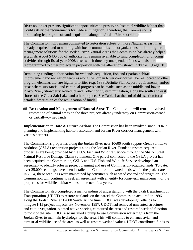River no longer presents significant opportunities to preserve substantial wildlife habitat that would satisfy the requirements for Federal mitigation. Therefore, the Commission is terminating its program of land acquisition along the Jordan River corridor.

The Commission will remain committed to restoration efforts on those Natural Areas it has already acquired, and to working with local communities and organizations to find long-term management solutions for the Jordan River Natural Areas the Commission has already helped establish. About \$400,000 of authorization remains available to fund completion of ongoing activities through fiscal year 2006, after which time any unexpended funds will also be reprogrammed to other projects in proportion with the allocations shown in Table 1 (Page 30).

Remaining funding authorization for wetlands acquisition, fish and riparian habitat improvement and recreation features along the Jordan River corridor will be reallocated to other program elements that are higher priorities (e.g. 1988 Definite Plan Report requirements) and/or areas where substantial and continual progress can be made, such as the middle and lower Provo River, Strawberry Aqueduct and Collection System mitigation, along the south and east shores of the Great Salt Lake, and other projects. See Table 1 at the end of this section for a detailed description of the reallocation of funds.

**Restoration and Management of Natural Areas** The Commission will remain involved in restoration of natural areas on the three projects already underway on Commission-owned or partially-owned lands

**Implementation to Date & Future Actions** The Commission has been involved since 1994 in planning and implementing habitat restoration and Jordan River corridor management with various partners.

The Commission's properties along the Jordan River near 10600 south support Great Salt Lake Audubon (GSLA) restoration projects along the Jordan River. Funds to restore acquired properties are being provided by the U.S. Fish and Wildlife Service through the Sharon Steel Natural Resource Damage Claim Settlement. One parcel connected to the GSLA project has been acquired; the Commission, GSLA and U.S. Fish and Wildlife Service developed an agreement to identify roles in project planning and use of Commission-acquired lands. To date, over 25,000 seedlings have been installed on Commission-owned lands within the project area. In 2004, these seedlings were maintained by activities such as weed control and irrigation. The Commission will continue to seek an agreement with an entity for long-term management of the properties for wildlife habitat values in the next few years.

The Commission also completed a memorandum of understanding with the Utah Department of Transportation (UDOT) to restore wetlands on the parcel the Commission acquired in 1996 along the Jordan River at 12600 South. At the time, UDOT was developing wetlands to mitigate I-15 project impacts. By November 1997, UDOT had removed unwanted structures and exotic vegetation, planted native species, contoured the area and restored wetland function to most of the site. UDOT also installed a pump to use Commission water rights from the Jordan River to maintain hydrology for the area. This will continue to enhance avian and terrestrial wildlife use of the area, as well as restore wetland values. UDOT contributed funds to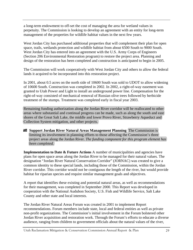a long-term endowment to off-set the cost of managing the area for wetland values in perpetuity. The Commission is looking to develop an agreement with an entity for long-term management of the properties for wildlife habitat values in the next few years.

West Jordan City has purchased additional properties that will complement their plan for open space, trails, wetlands protection and wildlife habitat from about 6500 South to 9000 South. West Jordan City has entered into an agreement with the U.S. Army Corps of Engineers (Section 206 Environmental Restoration program) to restore the project area. Planning and design of the restoration has been completed and construction is anticipated to begin in 2005.

The Commission will work cooperatively with West Jordan City and others to allow the federal lands it acquired to be incorporated into this restoration project.

In 2001, about 0.5 acres on the north side of 10600 South was sold to UDOT to allow widening of 10600 South. Construction was completed in 2002. In 2002, a right-of-way easement was granted to Utah Power and Light to install an underground power line. Compensation for the right-of-way consisted of mechanical removal of Russian olive trees followed by herbicide treatment of the stumps. Treatment was completed early in fiscal year 2003.

Remaining funding authorization along the Jordan River corridor will be reallocated to other areas where substantial and continual progress can be made, such as along the south and east shores of the Great Salt Lake, the middle and lower Provo River, Strawberry Aqueduct and Collection System mitigation, and other projects.

**Support Jordan River Natural Areas Management Planning** The Commission is limiting its involvement in planning efforts to those affecting the Commission's three project areas along the Jordan River. *The funding component for this program element has been completed.* 

**Implementation to Date & Future Actions** A number of municipalities and agencies have plans for open space areas along the Jordan River to be managed for their natural values. The designation "Jordan River Natural Conservation Corridor" (JORNAC) was created to give a common identity to these special lands, including those of the Commission, within the Jordan River corridor. This corridor would not be contiguous the length of the river, but would provide habitat for riparian species and require similar management goals and objectives.

A report that identifies these existing and potential natural areas, as well as recommendations for their management, was completed in September 2000. This Report was developed in cooperation with the National Audubon Society, U.S. Fish and Wildlife Service, Salt Lake County and other state and local interests.

The Jordan River Natural Areas Forum was created in 2001 to implement Report recommendations. Forum members include state, local and federal entities as well as private non-profit organizations. The Commission's initial involvement in the Forum bolstered other Jordan River acquisition and restoration work. Through the Forum's efforts to educate a diverse audience, ranging from children to government officials about the natural values of the river,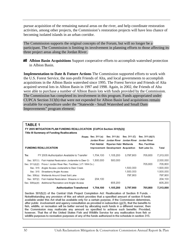pursue acquisition of the remaining natural areas on the river, and help coordinate restoration activities, among other projects, the Commission's restoration projects will have less chance of becoming isolated islands in an urban corridor.

The Commission supports the original concepts of the Forum, but will no longer be a participant. The Commission is limiting its involvement in planning efforts to those affecting its three project areas along the Jordan River.

**Albion Basin Acquisitions** Support cooperative efforts to accomplish watershed protection in Albion Basin.

**Implementation to Date & Future Actions** The Commission supported efforts to work with the U.S. Forest Service, the non-profit Friends of Alta, and local governments to accomplish acquisitions in the Albion Basin watershed since 1995. The Forest Service and Friends of Alta acquired several lots in Albion Basin in 1997 and 1998. Again, in 2002, the Friends of Alta were able to purchase a number of Albion Basin lots with funds provided by the Commission. The Commission has completed its involvement in this program. Funds appropriated under CUPCA Section 313(b) that were not expended for Albion Basin land acquisitions remain available for expenditure under the "Statewide - Small Watershed and Small Dam Improvements" program element.

#### TABLE 1

|          | FY 2005 MITIGATION PLAN FUNDING REALLOCATION [CUPCA Section 301(f)(2)]<br>Title III Summary of Funding Reallocations<br>Sec. 311 (C)<br>From: Sec. 311 (a)<br>Sec. 311 (b)<br>Sec. 311 (d)(1)                                                                                                                    |                              |                                                     |           |                                 |           |  |  |  |  |  |
|----------|------------------------------------------------------------------------------------------------------------------------------------------------------------------------------------------------------------------------------------------------------------------------------------------------------------------|------------------------------|-----------------------------------------------------|-----------|---------------------------------|-----------|--|--|--|--|--|
|          |                                                                                                                                                                                                                                                                                                                  | Jordan River<br>Fish Habitat | Jordan River Jordan River<br>Riparian Habi Wetlands |           | Jordan River<br>Rec. Facilities |           |  |  |  |  |  |
|          | <b>FUNDING REALLOCATION</b>                                                                                                                                                                                                                                                                                      |                              | Improvement: Development Acquisition                |           | Salt Lake Co.                   | Total     |  |  |  |  |  |
| To:      | FY 2005 Authorization Available to Transfer                                                                                                                                                                                                                                                                      | 1,704,100                    | 1,105,200                                           | 3,797,900 | 705,800                         | 7,313,000 |  |  |  |  |  |
|          | Sec. 307(1) Fish Habitat Restoration Jordanelle to Deer Cr.                                                                                                                                                                                                                                                      | 1,500,000                    | 500,000                                             |           |                                 | 2,000,000 |  |  |  |  |  |
|          | Sec. 311(d)(2) Provo / Jordan River Rec. Facilities ( UT / WA Co.)                                                                                                                                                                                                                                               |                              |                                                     |           | 705.800                         | 705,800   |  |  |  |  |  |
|          | Sec. 315 Angler Access Jordanelle to Deer Creek                                                                                                                                                                                                                                                                  |                              |                                                     | 1,500,000 |                                 | 1,500,000 |  |  |  |  |  |
| Sec. 315 | Strawberry Angler Access                                                                                                                                                                                                                                                                                         |                              |                                                     | 1,500,000 |                                 | 1,500,000 |  |  |  |  |  |
|          | Sec. 306(a) Wetlands Around Great Salt Lake                                                                                                                                                                                                                                                                      |                              |                                                     | 797.900   |                                 | 797,900   |  |  |  |  |  |
|          | Sec. 307(2) Fish Habitat Restoration: Streams in Utah                                                                                                                                                                                                                                                            | 204.100                      |                                                     |           |                                 | 204,100   |  |  |  |  |  |
|          | Sec. 309(a)(4) Additional Recreation and Angler Access                                                                                                                                                                                                                                                           |                              | 605.200                                             |           |                                 | 605,200   |  |  |  |  |  |
|          | <b>Authorization Transferred</b>                                                                                                                                                                                                                                                                                 | 1,704,100                    | 1,105,200                                           | 3,797,900 | 705,800                         | 7,313,000 |  |  |  |  |  |
|          | Section 301(f)(2) of the Central Utah Project Completion Act: Reallocation of Section 8 Funds. -<br>Notwithstanding any provision of this act which provides that a specified amount of section 8 funds<br>available under this Act shall be available only for a certain purpose, if the Commission determines, |                              |                                                     |           |                                 |           |  |  |  |  |  |

after public involvement and agency consultation as provided in subsection (g)(3), that the benefits to fish, wildlife, or recreation will be better served by allocating such funds in a different manner, then the Commission may reallocate any amount so specified to achieve such benefits: Provided, however. That the of the United States Fish and Wildlife Service for any reallocation from fish or wildlife purposes to recreation purposes of any of the funds authorized in the schedule in section 315.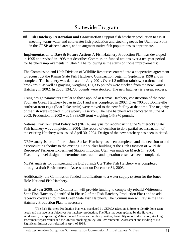## **Statewide Program**

**Fish Hatchery Restoration and Construction** Support fish hatchery production to assist meeting warm-water and cold-water fish production and stocking needs for Utah reservoirs in the CRSP-affected areas, and to augment native fish populations as appropriate.

**Implementation to Date & Future Actions** A Fish Hatchery Production Plan was developed in 1995 and revised in 1998 that describes Commission-funded actions over a ten-year period for hatchery improvements in Utah.<sup>6</sup> The following is the status on those improvements:

The Commission and Utah Division of Wildlife Resources entered into a cooperative agreement to reconstruct the Kamas State Fish Hatchery. Construction began in September 1998 and is complete. The hatchery was dedicated in July 2001. Over 1.3 million rainbow, cutthroat and brook trout, as well as grayling, weighing 131,335 pounds were stocked from the new Kamas Hatchery in 2002. In 2003, 134,733 pounds were stocked. The new hatchery is a great success.

Using design parameters similar to those applied at Kamas Hatchery, construction of the new Fountain Green Hatchery began in 2001 and was completed in 2002. Over 700,000 Bonneville cutthroat trout eggs (Bear Lake strain) were moved to the new facility at that time. The majority of the fish were stocked in Strawberry Reservoir. The new hatchery was dedicated in June of 2003. Production in 2003 was 1,888,639 trout weighing 145,970 pounds.

National Environmental Policy Act (NEPA) analysis for reconstructing the Whiterocks State Fish hatchery was completed in 2004. The record of decision to do a partial reconstruction of the existing Hatchery was issued April 30, 2004. Design of the new hatchery has been initiated.

NEPA analysis for an Interim June Sucker Hatchery has been completed and the decision to add a recirculating facility to the existing June sucker building at the Utah Division of Wildlife Resources' Fisheries Experiment Station in Logan, Utah was made on March 17, 2004. Feasibility level design to determine construction and operation costs has been completed.

NEPA analysis for constructing the Big Springs Ute Tribe Fish Hatchery was completed through a draft Environmental Assessment on December 31, 2003.

Additionally, the Commission funded modifications to a water supply system for the Jones Hole National Fish Hatchery.

In fiscal year 2006, the Commission will provide funding to completely rebuild Whiterocks State Fish Hatchery (identified in Phase 2 of the Fish Hatchery Production Plan) and to add raceway covers at Fountain Green State Fish Hatchery. The Commission will revise the Fish Hatchery Production Plan, if necessary.

<sup>&</sup>lt;sup>6</sup>The Fish Hatchery Production Plan was mandated by CUPCA (Section  $313(c)$ ) to identify long-term needs and management objectives for hatchery production. The Plan has been updated by the Hatchery Workgroup, incorporating Mitigation and Conservation Plan priorities, feasibility report information, stocking assessment report results and the UDWR stocking policy. An Environmental Assessment and Finding of No Significant Impact was released in April of 1998.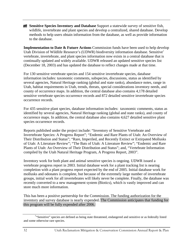**Sensitive Species Inventory and Database Support a statewide survey of sensitive fish,** wildlife, invertebrate and plant species and develop a centralized, shared database. Develop methods to help users obtain information from the database, as well as provide information to the database.

**Implementation to Date & Future Actions** Commission funds have been used to help develop Utah Division of Wildlife Resource's (UDWR) biodiversity information database. Sensitive<sup>7</sup> vertebrate, invertebrate, and plant species information now exists in a central database that is continually updated and widely available. UDWR released an updated sensitive species list (December 18, 2003) and has updated the database to reflect changes made at that time.

For 130 sensitive vertebrate species and 154 sensitive invertebrate species, database information includes: taxonomic comments, subspecies, discussions, status as identified by several agencies, Natural Heritage ranking (global and state ranks), abundance notes, range in Utah, habitat requirements in Utah, trends, threats, special considerations inventory needs, and county of occurrence maps. In addition, the central database also contains 4,178 detailed sensitive vertebrate species occurrence records and 872 detailed sensitive invertebrate species occurrence records.

For 435 sensitive plant species, database information includes: taxonomic comments, status as identified by several agencies, Natural Heritage ranking (global and state ranks), and county of occurrence maps. In addition, the central database also contains 4,627 detailed sensitive plant species occurrence records.

Reports published under the project include: "Inventory of Sensitive Vertebrate and Invertebrate Species: A Progress Report"; "Endemic and Rare Plants of Utah: An Overview of Their Distribution and Status"; "Rare, Imperiled, and Recently Extinct or Extirpated Mollusks of Utah: A Literature Review"; "The Bats of Utah: A Literature Review"; "Endemic and Rare Plants of Utah: An Overview of Their Distribution and Status"; and, "Vertebrate Information compiled by the Utah Natural Heritage Program, A Progress Report, 2003".

Inventory work for both plant and animal sensitive species is ongoing. UDWR issued a vertebrate progress report in 2003. Initial database work for a plant tracking list is nearing completion with a plant progress report expected by the end of 2005. Initial database work for mollusks and odonates is complete, but because of the extremely large number of invertebrate groups, initial work for all invertebrates will likely never be complete. Finally, the database was recently converted to a new management system (Biotics), which is vastly improved and can store much more information.

This has been a positive partnership for the Commission. The funding authorization for the inventory and survey database is nearly expended. The Commission anticipates that funding for this program will be fully expended after 2006.

<sup>&</sup>lt;sup>7</sup>"Sensitive" species are defined as being state threatened, endangered and sensitive or as federally listed and some otherwise rare species.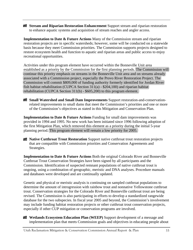**Stream and Riparian Restoration Enhancement** Support stream and riparian restoration to enhance aquatic systems and acquisition of stream reaches and angler access.

**Implementation to Date & Future Actions** Many of the Commission stream and riparian restoration projects are in specific watersheds; however, some will be conducted on a statewide basis because they meet Commission priorities. The Commission supports projects designed to restore ecosystem health and function to aquatic and riparian areas and public access to enjoy recreational opportunities.

Activities under this program element have occurred within the Bonneville Unit area established as a priority by the Commission for the first planning periods. The Commission will continue this priority emphasis on streams in the Bonneville Unit area and on streams already associated with a Commission project, especially the Provo River Restoration Project. The Commission will commit \$809,000 of funding authority formerly identified for Jordan River fish habitat rehabilitation (CUPCA Section 311(a) - \$204,100) and riparian habitat rehabilitation (CUPCA Section 311(b) - \$605,200) to this program element.

**Small Watershed and Small Dam Improvements** Support restoration-and-conservationrelated improvements to small dams that meet the Commission's priorities and one or more of the Commission's objectives as stated in this Mitigation and Conservation Plan.

**Implementation to Date & Future Actions** Funding for small dam improvements was provided in 1994 and 1995. No new work has been initiated since 1996 following adoption of the first Mitigation Plan, which removed this element as a priority during the initial 5-year planning period. This program element will remain a low priority for 2005.



**Native Cutthroat Trout Restoration** Support native cutthroat trout restoration projects that are compatible with Commission priorities and Conservation Agreements and Strategies.

**Implementation to Date & Future Actions** Both the original Colorado River and Bonneville Cutthroat Trout Conservation Strategies have been signed by all participants and the Commission. Identification of suspected remnant populations of native cutthroat trout is ongoing, using a combination of geographic, meristic and DNA analyses. Procedure manuals and databases were developed and are continually updated.

Genetic and physical or meristic analysis is continuing on sampled cutthroat populations to determine the amount of introgression with rainbow trout and nonnative Yellowstone cutthroat trout. Conservation strategies for the Colorado River and Bonneville cutthroat trout are being revised. The Commission is also participating in efforts to develop a standardized rangewide database for the two subspecies. In fiscal year 2005 and beyond, the Commission's involvement may include funding habitat restoration projects or other cutthroat trout conservation projects, especially if other CUP mitigation or conservation programs are involved.

**Wetlands Ecosystem Education Plan (WEEP)** Support development of a message and implementation plan that meets Commission goals and objectives in educating people about

Utah Reclamation Mitigation & Conservation Commission Annual Report & Plan 33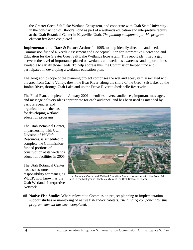the Greater Great Salt Lake Wetland Ecosystem, and cooperate with Utah State University in the construction of Blood's Pond as part of a wetlands education and interpretive facility at the Utah Botanical Center in Kaysville, Utah. *The funding component for this program element has been completed.* 

**Implementation to Date & Future Actions** In 1995, to help identify direction and need, the Commission funded a Needs Assessment and Conceptual Plan for Interpretive Recreation and Education for the Greater Great Salt Lake Wetlands Ecosystem. This report identified a gap between the level of importance placed on wetlands and wetlands awareness and opportunities available to satisfy those needs. To help address this, the Commission helped fund and participated in developing a wetlands education plan.

The geographic scope of the planning project comprises the wetland ecosystem associated with the area from Cache Valley, down the Bear River, along the shore of the Great Salt Lake, up the Jordan River, through Utah Lake and up the Provo River to Jordanelle Reservoir.

The Final Plan, completed in January 2001, identifies diverse audiences, important messages, and message delivery ideas appropriate for each audience, and has been used as intended by

various agencies and organizations as the basis for developing wetland education programs.

The Utah Botanical Center, in partnership with Utah Division of Wildlife Resources, is scheduled to complete the Commissionfunded portions of construction at its wetlands education facilities in 2005.

The Utah Botanical Center has also assumed responsibility for managing WEEP, now known as the Utah Wetlands Interpretive Network.



Utah Botanical Center and Wetland Education Ponds in Kaysville, with the Great Salt Lake in the background. Photo courtesy of the Utah Botanical Center

**Native Fish Studies** Where relevant to Commission project planning or implementation, support studies or monitoring of native fish and/or habitats. *The funding component for this program element has been completed.*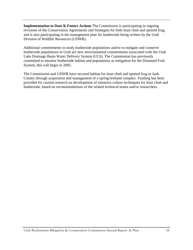**Implementation to Date & Future Actions** The Commission is participating in ongoing revisions of the Conservation Agreements and Strategies for both least chub and spotted frog, and is also participating in the management plan for leatherside being written by the Utah Division of Wildlife Resources (UDWR).

Additional commitments to study leatherside populations and/or to mitigate and conserve leatherside populations in Utah are new environmental commitments associated with the Utah Lake Drainage Basin Water Delivery System (ULS). The Commission has previously committed to monitor leatherside habitat and populations as mitigation for the Diamond Fork System; this will begin in 2005.

The Commission and UDWR have secured habitat for least chub and spotted frog in Juab County through acquisition and management of a spring/wetland complex. Funding has been provided for current research on development of intensive culture techniques for least chub and leatherside, based on recommendations of the related technical teams and/or researchers.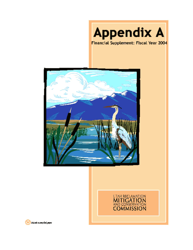





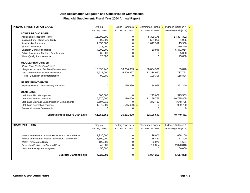#### **Financial Supplement: Fiscal Year 2004 Annual Report**

| <b>PROVO RIVER / UTAH LAKE</b>                          | Original         | $\mathbf{1}$ | Ceiling Transfers 2      |              | Committed Funds 3      | Indexed Balance $\frac{8}{4}$ |  |
|---------------------------------------------------------|------------------|--------------|--------------------------|--------------|------------------------|-------------------------------|--|
|                                                         | Authority [1991] |              | FY 1994 - FY 2004        |              | FY 1994 - FY 2004      | Remaining Auth [2004]         |  |
| <b>LOWER PROVO RIVER</b>                                |                  |              |                          |              |                        |                               |  |
| Acquisition of Instream Flows                           | 15,000,000       |              | 0                        |              | 5,309,178              | 14,387,322                    |  |
| Instream Flow / High Flows Study                        | 500,000          |              | 0                        |              | 534,000                | 81,905                        |  |
| June Sucker Recovery                                    | 1,050,000        |              | 0                        |              | 1,047,912              | 115,950                       |  |
| <b>Stream Restoration</b>                               | 975,000          |              | 0                        |              | 0                      | 1,310,820                     |  |
| <b>Diversion Dam Modifications</b>                      | 4,000,000        |              | 0                        |              | 30,946                 | 5,471,954                     |  |
| <b>Public Access and Facilities Development</b>         | 65,000           |              | 0                        |              | 0                      | 65,000                        |  |
| <b>Water Quality Improvements</b>                       | 25,000           |              | $\Omega$                 |              | $\Omega$               | 25,000                        |  |
| <b>MIDDLE PROVO RIVER</b>                               |                  |              |                          |              |                        |                               |  |
| Provo River Restoration Project                         |                  |              |                          |              |                        |                               |  |
| Angler Access and Facilities Development                | 10,895,443       |              | 18,204,033 a/b           |              | 30,034,990             | 83,870                        |  |
| Fish and Riparian Habitat Restoration                   | 5,911,000        |              | 6,900,997                | $\mathbf{c}$ | 13,338,962             | 737,722                       |  |
| PRRP Education and Interpretation                       | 90,000           |              | 0                        |              | 109,306                | 118,824                       |  |
| <b>UPPER PROVO RIVER</b>                                |                  |              |                          |              |                        |                               |  |
| Highway-Related Deer Mortality Reduction                | $\mathbf 0$      |              | $1,150,990$ c            |              | 14,069                 | 1,362,240                     |  |
| <b>UTAH LAKE</b>                                        |                  |              |                          |              |                        |                               |  |
| Utah Lake Fish Management                               | 600,000          |              | 0                        |              | 275,062                | 575,553                       |  |
| Utah Lake Wetland Preserve                              | 16,670,000       |              | $1,180,000$ a            |              | 11,159,765             | 10,795,805                    |  |
| Utah Lake Drainage Basin Mitigation Commitments         | 3,597,219        |              | 0                        |              | 342,453                | 4,648,795                     |  |
| Utah Lake Recreation Facilities                         | 1,975,000        |              | $(1,545,000)$ b          |              | 0                      | 959,700                       |  |
| <b>Terrestrial Habitat Conservation</b>                 | $\Omega$         |              | $\Omega$                 |              | $\Omega$               | $\Omega$                      |  |
| Subtotal Provo River / Utah Lake                        | 61,353,662       |              | 25,891,020               |              | 62,196,643             | 40,740,461                    |  |
|                                                         |                  |              |                          |              |                        |                               |  |
| <b>DIAMOND FORK</b>                                     | Original         |              | <b>Ceiling Transfers</b> |              | <b>Committed Funds</b> | Indexed Balance &             |  |
|                                                         | Authority [1991] |              | FY 1994 - FY 2004        |              | FY 1994 - FY 2004      | Remaining Auth [2004]         |  |
| Aquatic and Riparian Habitat Restoration - Diamond Fork | 1,230,000        |              | 0                        |              | 29,000                 | 1,688,100                     |  |
| Aquatic and Riparian Habitat Restoration - Sixth Water  | 1,500,000        |              | 0                        |              | 175,820                | 1,777,300                     |  |
| Water Temperature Study                                 | 100,000          |              | 0                        |              | 89,079                 | 31,621                        |  |
| Recreation Facilities in Diamond Fork                   | 2,049,000        |              | 0                        |              | 730,354                | 2,070,846                     |  |
| Diamond Fork System Mitigation                          | 50,000           |              | 0                        |              | 0                      | 50,000                        |  |
| <b>Subtotal Diamond Fork</b>                            | 4,929,000        |              | 0                        |              | 1,024,252              | 5,617,868                     |  |

 $\mathbf{r}$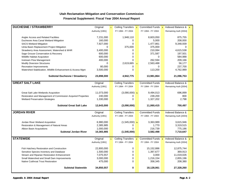#### **Financial Supplement: Fiscal Year 2004 Annual Report**

| <b>DUCHESNE / STRAWBERRY</b>                                 | Original         | $\overline{1}$ | Ceiling Transfers 2                        | Committed Funds 3      | Indexed Balance & 4   |  |
|--------------------------------------------------------------|------------------|----------------|--------------------------------------------|------------------------|-----------------------|--|
|                                                              | Authority [1991] |                | FY 1994 - FY 2004                          | FY 1994 - FY 2004      | Remaining Auth [2004] |  |
|                                                              |                  |                |                                            |                        |                       |  |
| Angler Access and Related Facilities                         | 7,231,000        |                | 1,948,110                                  | 8,603,050              | 875.755               |  |
| Duchesne Area Canal Wetland Mitigation                       | 160,000          |                | 0                                          | 5,000                  | 208,000               |  |
| <b>SACS Wetland Mitigation</b>                               | 7,927,000        |                | $\mathbf 0$                                | 1,477,861              | 9,348,939             |  |
| Uinta Basin Replacement Project Mitigation                   | 0                |                | 375,000                                    | 375,000                | 0                     |  |
| Strawberry Area Assessment, Watershed & WHR                  | 3,400,000        |                | 0                                          | 210,084                | 4,615,538             |  |
| Sage Grouse Conservation & Recovery                          | 600,000          |                | $\pmb{0}$                                  | 371,587                | 197,501               |  |
| Wildlife Habitat Acquisition                                 | 600,000          |                | $\mathbf 0$                                | 0                      | 584,988               |  |
| Instream Flow Management                                     | 400,000          |                | 0                                          | 262,594                | 209,166               |  |
| <b>Modify Diversion Structures</b>                           | 0                |                | 2,619,665<br>$\mathbf{c}$                  | 2,563,488              | 56,177                |  |
| Recreation Improvements                                      | 80,000           |                | 0                                          | 0                      | 237,700               |  |
| Watershed Stabilization, Wildlife Enhancement & Access Mgnt  | 3,500,000        |                | $\mathbf 0$                                | 113,200                | 4,762,989             |  |
| <b>Subtotal Duchesne / Strawberry</b>                        | 23,898,000       |                | 4,942,775                                  | 13,981,864             | 21,096,753            |  |
|                                                              |                  |                |                                            |                        |                       |  |
| <b>GREAT SALT LAKE</b>                                       | Original         |                | <b>Ceiling Transfers</b>                   | <b>Committed Funds</b> | Indexed Balance &     |  |
|                                                              | Authority [1991] |                | FY 1994 - FY 2004                          | FY 1994 - FY 2004      | Remaining Auth [2004] |  |
| Great Salt Lake Wetlands Acquisition                         | 11,073,000       |                | $(3,090,000)$ b                            | 9,494,013              | 696,899               |  |
| Restoration and Management of Commission Acquired Properties | 240,000          |                | 0                                          | 239,200                | 800                   |  |
| <b>Wetland Preservation Strategies</b>                       | 1,330,000        |                | $\Omega$                                   | 1,327,202              | 2,798                 |  |
|                                                              |                  |                |                                            |                        |                       |  |
| <b>Subtotal Great Salt Lake</b>                              | 12,643,000       |                | (3,090,000)                                | 11,060,415             | 700,497               |  |
| <b>JORDAN RIVER</b>                                          | Original         |                | <b>Ceiling Transfers</b>                   | <b>Committed Funds</b> | Indexed Balance &     |  |
|                                                              | Authority [1991] |                | FY 1994 - FY 2004                          | FY 1994 - FY 2004      | Remaining Auth [2004] |  |
|                                                              |                  |                |                                            |                        |                       |  |
| Jordan River Wetland Acquisition                             | 6,980,000        |                | $(1,545,000)$ b                            | 3,363,989              | 3,615,946             |  |
| Restoration & Management of Natural Areas                    | 2,385,985        |                | 0                                          | 1,770                  | 3,319,515             |  |
| Albion Basin Acquisitions                                    | 1,000,000        |                | $\Omega$                                   | 216,739                | 775,186               |  |
| <b>Subtotal Jordan River</b>                                 | 10,365,985       |                | (1,545,000)                                | 3,582,498              | 7,710,647             |  |
| <b>STATEWIDE</b>                                             | Original         | $\mathbf{1}$   | <b>Ceiling Transfers</b><br>$\overline{2}$ | Committed Funds 3      | Indexed Balance & 4   |  |
|                                                              | Authority [1991] |                | FY 1994 - FY 2004                          | FY 1994 - FY 2004      | Remaining Auth [2004] |  |
|                                                              |                  |                |                                            |                        |                       |  |
| Fish Hatchery Restoration and Construction                   | 22,800,000       |                | 0                                          | 15,152,886             | 12,875,744            |  |
| Sensitive Species Inventory and Database                     | 1,500,000        |                | 0                                          | 1,397,677              | 369,913               |  |
| Stream and Riparian Restoration Enhancement                  | 7,075,557        |                | $\mathbf 0$                                | 3,000                  | 11,019,026            |  |
| Small Watershed and Small Dam Improvements                   | 3,000,000        |                | 0                                          | 1,216,154              | 2,855,196             |  |
| Native Cutthroat Trout Restoration                           | 475,000          |                | $\mathbf 0$                                | 358,345                | 208,380               |  |
| <b>Subtotal Statewide</b>                                    | 34,850,557       |                | 0                                          | 18,128,061             | 27,328,260            |  |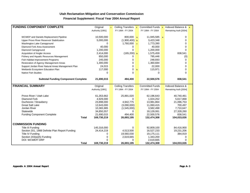#### **Financial Supplement: Fiscal Year 2004 Annual Report**

| <b>FUNDING COMPONENT COMPLETE</b>                  | Original                 | $\mathbf{1}$ | Ceiling Transfers 2      |                            | Committed Funds 3       | Indexed Balance $\frac{8}{4}$ |  |
|----------------------------------------------------|--------------------------|--------------|--------------------------|----------------------------|-------------------------|-------------------------------|--|
|                                                    | Authority [1991]         |              | FY 1994 - FY 2004        |                            | FY 1994 - FY 2004       | Remaining Auth [2004]         |  |
|                                                    |                          |              |                          |                            |                         |                               |  |
| <b>WCWEP</b> and Daniels Replacement Pipeline      | 10,500,000               |              | $800,000$ a              |                            | $11,945,585$ a          | 0                             |  |
| Upper Provo River Reservoir Stabilization          | 5,000,000                |              | $(1,900,400)$ b          |                            | 3,423,348               | 0                             |  |
| Washington Lake Campground                         | 0                        |              | 1,760,000                | $\overline{\phantom{a}}$ c | 1,773,390               | 0                             |  |
| Diamond Fork Area Assessment                       | 40,000                   |              | 0                        |                            | 40,000                  | 0                             |  |
| Diamond Campground                                 | 1,200,000                |              | 0                        |                            | 1,200,000               | $\Omega$                      |  |
| Acquisition of Angler Access                       | 2,414,000                |              | $(165, 200)$ b           |                            | 1,575,459               | 838,541                       |  |
| Fishery and Aquatic Resources Management           | 850,000                  |              | 0                        |                            | 795,446                 | (0)                           |  |
| Fish Habitat Improvement Programs                  | 245,000                  |              | 0                        |                            | 248,693                 | 0                             |  |
| Restoration of Agency Management Areas             | 1,300,000                |              | 0                        |                            | 1,360,684               | 0                             |  |
| Support Jordan River Natural Areas Management Plan | 24,015                   |              | 0                        |                            | 22,000                  | 0                             |  |
| Wetlands Ecosystem Education Plan                  | 117,000                  |              | 0                        | $\mathbf b$                | 115,971                 | 0                             |  |
| <b>Native Fish Studies</b>                         | 0                        |              | $\Omega$                 |                            | $\Omega$                | $\Omega$                      |  |
|                                                    |                          |              |                          |                            |                         |                               |  |
| <b>Subtotal Funding Component Complete</b>         | 21,690,015               |              | 494,400                  |                            | 22,500,576              | 838,541                       |  |
|                                                    |                          |              |                          |                            |                         |                               |  |
| <b>FINANCIAL SUMMARY</b>                           | Original                 |              | <b>Ceiling Transfers</b> |                            | <b>Committed Funds</b>  | Indexed Balance &             |  |
|                                                    | Authority [1991]         |              | FY 1994 - FY 2004        |                            | FY 1994 - FY 2004       | Remaining Auth [2004]         |  |
|                                                    |                          |              |                          |                            |                         |                               |  |
| Provo River / Utah Lake                            | 61,353,662               |              | 25,891,020               |                            | 62,196,643              | 40,740,461                    |  |
| <b>Diamond Fork</b>                                | 4,929,000                |              | 0                        |                            | 1,024,252               | 5,617,868                     |  |
| Duchesne / Strawberry                              | 23,898,000               |              | 4,942,775                |                            | 13,981,864              | 21,096,753                    |  |
| <b>Great Salt Lake</b><br>Jordan River             | 12,643,000               |              | (3,090,000)              |                            | 11,060,415              | 700,497                       |  |
| Statewide                                          | 10,365,985<br>34,850,557 |              | (1,545,000)<br>0         |                            | 3,582,498<br>18,128,061 | 7,710,647<br>27,328,260       |  |
| <b>Funding Component Complete</b>                  | 21,690,015               |              | 494,400                  |                            | 22,500,576              | 838,541                       |  |
| <b>Total</b>                                       | 169,730,219              |              | 26,693,195               |                            | 132,474,308             | 104,033,026                   |  |
|                                                    |                          |              |                          |                            |                         |                               |  |
| <b>COMMISSION FUNDING</b>                          |                          |              |                          |                            |                         |                               |  |
| <b>Title III Funding</b>                           | 145,316,000              |              | 0                        |                            | 92,809,100              | 84,416,900                    |  |
| Section 201, 1988 Definite Plan Report Funding     | 24,414,219               |              | 4,513,500                |                            | 16,527,233              | 19,231,206                    |  |
| Title IV Funding                                   | 0                        |              | 19,560,030               |                            | 19,175,111              | 384,919                       |  |
| Section 203(a)(5) Funding                          | 0                        |              | 2,619,665                |                            | 1,343,200               | 0                             |  |
| DOI: WCWEP/ DRP                                    | U                        |              | 0                        |                            | 2,619,665               | $\Omega$                      |  |
| <b>Total</b>                                       | 169,730,219              |              | 26,693,195               |                            | 132,474,308             | 104,033,026                   |  |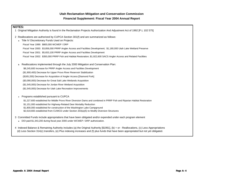#### **Financial Supplement: Fiscal Year 2004 Annual Report**

| <b>NOTES:</b>                                                                                                                                                                                                                                                                   |
|---------------------------------------------------------------------------------------------------------------------------------------------------------------------------------------------------------------------------------------------------------------------------------|
| Original Mitigation Authority is found in the Reclamation Projects Authorization And Adjustment Act of 1992 [P.L 102 575]                                                                                                                                                       |
| 2 Reallocations are authorized by CUPCA Section 301(f) and are summarized as follows:                                                                                                                                                                                           |
| a Title IV Discretionary Funds Used on Projects:                                                                                                                                                                                                                                |
| Fiscal Year 1999: \$800,000 WCWEP / DRP                                                                                                                                                                                                                                         |
| Fiscal Year 2000: \$3,856,000 PRRP Angler Access and Facilities Development; \$1,180,000 Utah Lake Wetland Preserve                                                                                                                                                             |
| Fiscal Year 2001: \$5,653,100 PRRP Angler Access and Facilities Development                                                                                                                                                                                                     |
| Fiscal Year 2002: \$350,000 PRRP Fish and Habitat Restoration; \$1,922,600 SACS Angler Access and Related Facilities                                                                                                                                                            |
| Reallocations implemented through the July 2000 Mitigation and Conservation Plan:<br>b                                                                                                                                                                                          |
| \$8,245,600 Increase for PRRP Angler Access and Facilities Development                                                                                                                                                                                                          |
| (\$1,900,400) Decrease for Upper Provo River Reservoir Stabilization                                                                                                                                                                                                            |
| (\$165,200) Decrease for Acquisition of Angler Access [Diamond Fork]                                                                                                                                                                                                            |
| (\$3,090,000) Decrease for Great Salt Lake Wetlands Acquisition                                                                                                                                                                                                                 |
| (\$1,545,000) Decrease for Jordan River Wetland Acquisition                                                                                                                                                                                                                     |
| (\$1,545,000) Decrease for Utah Lake Recreation Improvements                                                                                                                                                                                                                    |
| Programs established pursuant to CUPCA<br>c                                                                                                                                                                                                                                     |
| \$1,227,600 established for Middle Provo River Diversion Dams and combined in PRRP Fish and Riparian Habitat Restoration                                                                                                                                                        |
| \$1,151,000 established for Highway-Related Deer Mortality Reduction                                                                                                                                                                                                            |
| \$1,800,000 established for construction of the Washington Lake Campground                                                                                                                                                                                                      |
| \$2,619,665 established from CUWCD under Section 203(a)(5) to Modify Diversion Structures                                                                                                                                                                                       |
| 3 Committed Funds include appropriations that have been obligated and/or expended under each program element                                                                                                                                                                    |
| DOI paid \$1,343,200 during fiscal year 2000 under WCWEP / DRP authorization.<br>$\mathbf a$                                                                                                                                                                                    |
| 4 Indexed Balance & Remaining Authority includes (a) the Original Authority [\$1991], (b) + or - Reallocations, (c) Less Appropriations<br>(d) Less Section 314(c) transfers, (e) Plus indexing increases and (f) plus funds that have been appropriated but not yet obligated. |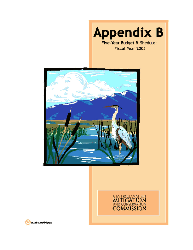

Fiscal Year 2005





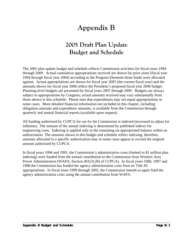# **Appendix B**

## **2005 Draft Plan Update Budget and Schedule**

The 2005 plan update budget and schedule reflects Commission activities for fiscal years 1994 through 2009. Actual cumulative appropriations received are shown for prior years (fiscal year 1994 through fiscal year 2004) according to the Program Elements those funds were allocated against. Actual appropriations are shown for fiscal year 2005 (the current fiscal year) and the amounts shown for fiscal year 2006 reflect the President's proposed fiscal year 2006 budget. Planning-level budgets are presented for fiscal years 2007 through 2009. Budgets are always subject to appropriations by Congress; actual amounts received may vary substantially from those shown in this schedule. Please note that expenditures may not equal appropriations in some cases. More detailed financial information not included in this chapter, including obligation amounts and expenditure amounts, is available from the Commission through quarterly and annual financial reports (available upon request).

All funding authorized by CUPCA for use by the Commission is indexed (increased to adjust for inflation). The amount of the annual indexing is determined by published indices for engineering costs. Indexing is applied only to the remaining un-appropriated balance within an authorization. The amounts shown in this budget and schedule reflect indexing; therefore, amounts allocated to a specific authorization may in some cases appear to exceed the original amount authorized by CUPCA.

In fiscal years 1994 and 1995, the Commission's administrative costs (limited to \$1 million plus indexing) were funded from the annual contribution to the Commission from Western Area Power Administration (WAPA; Section 401(3) (B) of CUPCA). In fiscal years 1996, 1997 and 1998 the Commission has funded the agency administration costs from its Title III appropriations. In fiscal years 1999 through 2005, the Commission intends to again fund the agency administration costs using the annual contribution from WAPA.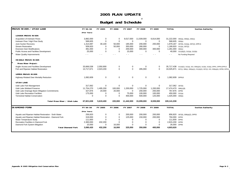#### **2005 PLAN UPDATE**

## **1/ Budget and Schedule**

| <b>PROVO RIVER / UTAH LAKE</b>                          | FY 94-04      | FY 2005     | FY 2006     | FY 2007     | FY 2008       | FY 2009     | <b>TOTAL</b>         | <b>Section Authority</b>                                                             |
|---------------------------------------------------------|---------------|-------------|-------------|-------------|---------------|-------------|----------------------|--------------------------------------------------------------------------------------|
|                                                         | (Prior Years) |             |             |             |               |             |                      |                                                                                      |
| <b>LOWER PROVO RIVER</b>                                |               |             |             |             |               |             |                      |                                                                                      |
| Acquisition of Instream Flows                           | 3,882,000     | 0           | 0           | 9,017,000   | 11,509,000    | 6,814,000   |                      | 31,222,000 302(a), 303(e), 202(c)                                                    |
| Instream Flow / High Flow Study                         | 568,605       | 0           | $\mathbf 0$ | $\mathbf 0$ | $\mathbf 0$   | $\mathbf 0$ | 568,605 303(e)       |                                                                                      |
| June Sucker Recovery                                    | 1.314.087     | 30,100      | 50,000      | 185,000     | 200,000       | 200,000     | 1,979,187            | 307(5), 312(a), 307(2), DPR-6                                                        |
| <b>Stream Restoration</b>                               | 509,920       | $\mathbf 0$ | 50,000      | 350,000     | 280,000       | $\Omega$    |                      | 1,189,920 311(e), 307(2)                                                             |
| <b>Diversion Dam Modifications</b>                      | 481,000       | 0           | $\mathbf 0$ | 200,000     | 300,000       | 300,000     | 1,281,000 302(c)     |                                                                                      |
| Public Access and Facilities Development                | 25,000        | $\mathbf 0$ | $\mathbf 0$ | 15,000      | $\mathbf 0$   | $\mathbf 0$ |                      | 40,000 311(d)(2), 312(a), 312(b)                                                     |
| Water Quality Improvements                              |               |             |             |             | $\sim$ $\sim$ |             |                      | No Funding Required                                                                  |
| MIDDLE PROVO RIVER                                      |               |             |             |             |               |             |                      |                                                                                      |
| Provo River Project:                                    |               |             |             |             |               |             |                      |                                                                                      |
| Angler Access and Facilities Development                | 33,666,538    | 2,050,900   | 0           | 0           | 0             | 0           |                      | 35,717,438 311(d)(2), 312(a), 315, 309(a)(4), 312(b), 313(a), DPR1, DPR4, DPR12      |
| Fish and Riparian Habitat Restoration                   | 13.717.671    | 2,023,200   | $\Omega$    | $\Omega$    | 285,000       | $\Omega$    |                      | 16,025,871 307(1), 308(c), 309(a)(1), 311(d)(2), 307(2), 315, 309(a)(4), DPR8, DPR11 |
| <b>UPPER PROVO RIVER</b>                                |               |             |             |             |               |             |                      |                                                                                      |
| Highway-Related Deer Mortality Reduction                | 1,082,609     | $\mathbf 0$ | $\mathbf 0$ | $\mathbf 0$ | $\mathbf 0$   | $\mathbf 0$ | 1,082,609 DPR10      |                                                                                      |
| <b>UTAH LAKE</b>                                        |               |             |             |             |               |             |                      |                                                                                      |
| Utah Lake Fish Management                               | 317,062       | $\mathbf 0$ | $\mathbf 0$ | $\mathbf 0$ | $\mathbf 0$   | $\mathbf 0$ | 317,062 307(5)       |                                                                                      |
| Utah Lake Wetland Preserve                              | 11,754,270    | 1,495,200   | 100,000     | 1,200,000   | 1,725,000     | 1,200,000   | 17,474,470 306(c)(9) |                                                                                      |
| Utah Lake Drainage Basin Mitigation Commitments         | 327,876       | 20,000      | 20,000      | $\Omega$    | 200,000       | 200,000     | 767,876 DPR6         |                                                                                      |
| Utah Lake Recreation Facilities                         | 175,000       | 0           | 0           | 75,000      | 100,000       | 100,000     | 450,000              | 312(a)                                                                               |
| <b>Terrestrial Habitat Conservation</b>                 | $\Omega$      | $\mathbf 0$ | $\mathbf 0$ | 400,000     | 500,000       | 125,000     | 1,025,000 305(b)     |                                                                                      |
| Total Provo River / Utah Lake                           | 67,821,638    | 5,619,400   | 220.000     | 11,442,000  | 15,099,000    | 8,939,000   | 109,141,038          |                                                                                      |
| <b>DI AMOND FORK</b>                                    | FY 94-04      | FY 2005     | FY 2006     | FY 2007     | FY 2008       | FY 2009     | <b>TOTAL</b>         | <b>Section Authority</b>                                                             |
|                                                         | (Prior Years) |             |             |             |               |             |                      |                                                                                      |
| Aquatic and Riparian Habitat Restoration - Sixth Water  | 256,820       | 0           | $\Omega$    | 200,000     | 200,000       | 200,000     |                      | 856,820 307(6), 309(a)(2), DPR3                                                      |
| Aquatic and Riparian Habitat Restoration - Diamond Fork | 319,000       | $\Omega$    | $\mathbf 0$ | 125,000     | 150,000       | 200,000     | 794,000 DPR3         |                                                                                      |
| Water Temperature Study                                 | 111,600       | $\Omega$    | $\Omega$    | $\Omega$    | 0             | $\Omega$    | 111,600 DPR2         |                                                                                      |
| Recreation Facilities in Diamond Fork                   | 2,383,000     | 432,200     | $\Omega$    | $^{\circ}$  | $\mathbf 0$   | $\mathbf 0$ | 2,815,200 DPR5       |                                                                                      |
| Diamond Fork System Mitigation                          | 10,000        | $\mathbf 0$ | 16,000      | $\Omega$    | $\mathbf 0$   | $\Omega$    | 26,000 DPR6          |                                                                                      |
| <b>Total Diamond Fork</b>                               | 3,080,420     | 432,200     | 16,000      | 325,000     | 350.000       | 400.000     | 4,603,620            |                                                                                      |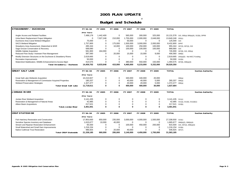#### **2005 PLAN UPDATE**

## **1/ Budget and Schedule**

| <b>STRAWBERRY / DUCHESNE</b>                                    | FY 94-04      | FY 2005     | FY 2006     | FY 2007     | FY 2008     | FY 2009      | <b>TOTAL</b>      |                                                |
|-----------------------------------------------------------------|---------------|-------------|-------------|-------------|-------------|--------------|-------------------|------------------------------------------------|
|                                                                 | (Prior Years) |             |             |             |             |              |                   |                                                |
| Angler Access and Related Facilities                            | 7,499,178     | 1,442,400   | $\mathbf 0$ | 565,000     | 300,000     | 325,000      |                   | 10,131,578 315, 305(a) 309(a)(4), 312(b), DPR9 |
| Uinta Basin Replacement Project Mitigation                      | $\mathbf 0$   | 7,027,248   | 210,000     | 1,755,000   | 2,000,000   | 2,648,000    | 13,640,248 202(c) |                                                |
| Duchesne Area Canal Wetland Mitigation                          | 75,000        | $\Omega$    | $\mathbf 0$ | 50,000      | $\mathbf 0$ | $\mathbf{0}$ | 125,000 315       |                                                |
| <b>SACS Wetland Mitigation</b>                                  | 1.757.800     | $\Omega$    | 175,000     | 1,500,000   | 3,000,000   | 2,000,000    | 8,432,800 DPR7    |                                                |
| Strawberry Area Assessment, Watershed & WHR                     | 495,344       | $\Omega$    | 10,000      | 100,000     | 250,000     | 100,000      |                   | 955, 344 307(3), 307(4), 315                   |
| Sage Grouse Conservation & Recovery                             | 568,680       | $\Omega$    | 0           | 100,000     | 100,000     | 100,000      | 868,680 315       |                                                |
| Wildlife Habitat Acquisition                                    | 581,900       | 164.000     | $\mathbf 0$ | $\mathbf 0$ | $\mathbf 0$ | $\mathbf 0$  |                   | 745,900 307(8), 315, 305(a)                    |
| Reduced Flow Study / Instream Flow Management                   | 397,560       | $\Omega$    | 20,000      | 15.000      | 15,000      | 9,000        | 456,560 309(b)    |                                                |
| Modify Diversion Structures on the Duchesne & Strawberry Rivers | 2.619.665     | $\Omega$    | $\mathbf 0$ | $\mathbf 0$ | $\Omega$    | $\mathbf 0$  |                   | 2,619,665 203(a)(5) - Not MCC Funding          |
| <b>Recreation Improvements</b>                                  | 50,000        | $\Omega$    | $\mathbf 0$ | $\mathbf 0$ | $\Omega$    | $\Omega$     | 50,000 312(b)     |                                                |
| Watershed Stabilization, Wildlife Enhancement & Access Mgnt     | 414,575       | $\Omega$    | $\mathbf 0$ | 380,000     | 550,000     | 150,000      |                   | 1,494,575 307(8), 309(a)(3)                    |
| Total Strawberry / Duchesne                                     | 14,459,702    | 8,633,648   | 415,000     | 4,465,000   | 6,215,000   | 5,332,000    | 39,520,350        |                                                |
| <b>GREAT SALT LAKE</b>                                          | FY 94-04      | FY 2005     | FY 2006     | FY 2007     | FY 2008     | FY 2009      | <b>TOTAL</b>      | <b>Section Authority</b>                       |
|                                                                 | (Prior Years) |             |             |             |             |              |                   |                                                |
| Great Salt Lake Wetlands Acquisition                            | 10.210.927    | $\mathbf 0$ | $\mathbf 0$ | 340.000     | 340,000     | 20,000       |                   | 306(a)                                         |
| Restoration & Management of Commission Acquired Properties      | 180,207       | $\Omega$    | $\pmb{0}$   | 40,000      | 40,000      | 5,000        | 265,207           | 306(a)                                         |
| <b>Wetland Preservation Strategies</b>                          | 1.327.477     | $\Omega$    | $\mathbf 0$ | 20.000      | 20,000      | 5,000        | 1,372,477         | 306(a)                                         |
| <b>Total Great Salt Lake</b>                                    | 11,718,611    | $\bf{0}$    | $\bf{0}$    | 400,000     | 400,000     | 30,000       | 1,637,684         |                                                |
|                                                                 |               |             |             |             |             |              |                   |                                                |
| JORDAN RIVER                                                    | FY 94-04      | FY 2005     | FY 2006     | FY 2007     | FY 2008     | FY 2009      | <b>TOTAL</b>      | <b>Section Authority</b>                       |
|                                                                 | (Prior Years) |             |             |             |             |              |                   |                                                |
| Jordan River Wetland Acquisition                                | 3.141.435     | $\mathbf 0$ | $\mathbf 0$ | 0           | $\Omega$    | 0            | 3,141,435 311(c)  |                                                |
| Restoration & Management of Natural Areas                       | 42,985        | $\Omega$    | $\pmb{0}$   | $\Omega$    | $\mathbf 0$ | $\mathbf 0$  |                   | 42,985 311(a), 311(b), 311(d)(1)               |
| Albion Basin Acquisitions                                       | 217,521       | $\Omega$    | $\Omega$    | $\mathbf 0$ | $\Omega$    | $\Omega$     | 217,521 313(b)    |                                                |
| <b>Total Jordan River</b>                                       | 3,401,941     | $\Omega$    | $\Omega$    | $\Omega$    | $\Omega$    | $\Omega$     | 3,401,941         |                                                |
| <b>CRSP STATEWIDE</b>                                           | FY 94-04      | FY 2005     | FY 2006     | FY 2007     | FY 2008     | FY 2009      | <b>TOTAL</b>      | <b>Section Authority</b>                       |
|                                                                 | (Prior Years) |             |             |             |             |              |                   |                                                |
| Fish Hatchery Restoration and Construction                      | 17.953.930    | 650,000     | 235,000     | 3.000.000   | 4,000,000   | 1,500,000    | 27,338,930 313(c) |                                                |
| Sensitive Species Inventory and Database                        | 1,615,677     | 10,000      | 40,000      | $\mathbf 0$ | $\Omega$    | $\mathbf 0$  |                   | 1,665,677 306(b)(2), 306(b)(4)                 |
| Stream and Riparian Restoration Enhancement                     | 65,500        | $\Omega$    | $\mathbf 0$ | 100,000     | 450,000     | 200,000      |                   | 815,500 315, 307(2), 309(a)(4)                 |
| Small Watershed and Small Dam Improvements                      | 1,216,154     | $\Omega$    | $\mathbf 0$ | $\mathbf 0$ | $\Omega$    | $\Omega$     | 1,216,154 313(b)  |                                                |
| Native Cutthroat Trout Restoration                              | 486,925       | $\Omega$    | 20,000      | 40,000      | $\Omega$    | $\Omega$     | 546,925 307(7)    |                                                |
| <b>Total CRSP Statewide</b>                                     | 21,338,185    | 660,000     | 295,000     | 3,140,000   | 4,450,000   | 1,700,000    | 31,583,185        |                                                |
|                                                                 |               |             |             |             |             |              |                   |                                                |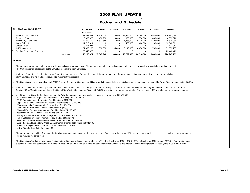#### **2005 PLAN UPDATE**

#### **1/ Budget and Schedule**

|          | <b>FINANCIAL SUMMARY</b>                                                                                                                                                                                                                                                                                                                                                  | FY 94-04      | FY 2005     | FY 2006     | FY 2007      | FY 2008      | FY 2009     | <b>TOTAL</b> |  |  |  |  |
|----------|---------------------------------------------------------------------------------------------------------------------------------------------------------------------------------------------------------------------------------------------------------------------------------------------------------------------------------------------------------------------------|---------------|-------------|-------------|--------------|--------------|-------------|--------------|--|--|--|--|
|          |                                                                                                                                                                                                                                                                                                                                                                           | (Prior Years) |             |             |              |              |             |              |  |  |  |  |
|          | Provo River / Utah Lake                                                                                                                                                                                                                                                                                                                                                   | 67,821,638    | 5,619,400   | 220,000     | 11,442,000   | 15,099,000   | 8,939,000   | 109,141,038  |  |  |  |  |
|          | Diamond Fork                                                                                                                                                                                                                                                                                                                                                              | 3,080,420     | 432,200     | 16,000      | 325,000      | 350,000      | 400,000     | 4,603,620    |  |  |  |  |
|          | Strawberry / Duchesne                                                                                                                                                                                                                                                                                                                                                     | 14,459,702    | 8,633,648   | 415,000     | 4,465,000    | 6,215,000    | 5,332,000   | 39,520,350   |  |  |  |  |
|          | <b>Great Salt Lake</b>                                                                                                                                                                                                                                                                                                                                                    | 11,718,611    | $\mathbf 0$ | 0           | 400,000      | 400,000      | 30,000      | 12,548,611   |  |  |  |  |
|          | Jordan River                                                                                                                                                                                                                                                                                                                                                              | 3,401,941     | 0           | 0           | $\mathbf{0}$ | $\mathbf{0}$ | 0           | 3,401,941    |  |  |  |  |
|          | <b>CRSP Statewide</b>                                                                                                                                                                                                                                                                                                                                                     | 21,338,185    | 660,000     | 295,000     | 3,140,000    | 4,450,000    | 1,700,000   | 31,583,185   |  |  |  |  |
|          | <b>Funding Component Complete</b>                                                                                                                                                                                                                                                                                                                                         | 23,448,423    | $\mathbf 0$ | $\mathbf 0$ | $\mathbf 0$  | $\mathbf 0$  | $\mathbf 0$ | 23,448,423   |  |  |  |  |
|          | Subtotal                                                                                                                                                                                                                                                                                                                                                                  | 145,268,921   | 15,345,248  | 946,000     | 19,772,000   | 26,514,000   | 16,401,000  | 224,247,169  |  |  |  |  |
|          | <b>NOTES:</b>                                                                                                                                                                                                                                                                                                                                                             |               |             |             |              |              |             |              |  |  |  |  |
|          |                                                                                                                                                                                                                                                                                                                                                                           |               |             |             |              |              |             |              |  |  |  |  |
|          | 1/ The amounts shown in the table represent the Commission's proposed plan. The amounts are subject to revision and could vary as projects develop and plans are implemented.<br>The Commission's budget is subject to annual appropriations from Congress.                                                                                                               |               |             |             |              |              |             |              |  |  |  |  |
|          |                                                                                                                                                                                                                                                                                                                                                                           |               |             |             |              |              |             |              |  |  |  |  |
|          | 2/ Under the Provo River / Utah Lake, Lower Provo River watershed, the Commission identified a program element for Water Quality Improvements. At this time, this item is in the<br>planning stages and no funding is required to implement this program.                                                                                                                 |               |             |             |              |              |             |              |  |  |  |  |
|          | 3/ The Commission has combined several PRRP Program Elements. Sources for additional funds to complete land acquisitions and restoration along the middle Provo River are identified in this Plan.                                                                                                                                                                        |               |             |             |              |              |             |              |  |  |  |  |
|          | Under the Duchesne / Strawberry watershed the Commission has identified a program element to Modify Diversion Structures. Funding for this program element comes from PL 102-575<br>Section 203(a)(5) and is appropriated to the Central Utah Water Conservancy District (CUWCD) which signed an agreement with the Commission in 1999 to implement this program element. |               |             |             |              |              |             |              |  |  |  |  |
| $I_{5/}$ | As of fiscal year 2004, the funding element of the following program elements has been completed for a total of \$23,458,423:                                                                                                                                                                                                                                             |               |             |             |              |              |             |              |  |  |  |  |
|          | WCWEP and Daniels Replacement Pipeline: Total funding of \$11,945,585<br>PRRP Education and Interpretaion: Total funding of \$129,306                                                                                                                                                                                                                                     |               |             |             |              |              |             |              |  |  |  |  |
|          | Upper Provo River Reservoir Stabilization: Total funding of \$3,423,348                                                                                                                                                                                                                                                                                                   |               |             |             |              |              |             |              |  |  |  |  |
|          | Washington Lake Campground: Total funding of \$1,773,390                                                                                                                                                                                                                                                                                                                  |               |             |             |              |              |             |              |  |  |  |  |
|          | Diamond Fork Area Assessment: Total funding of \$40,000                                                                                                                                                                                                                                                                                                                   |               |             |             |              |              |             |              |  |  |  |  |
|          | Diamond Fork Palmyra Campground: Total funding of \$1,200,000                                                                                                                                                                                                                                                                                                             |               |             |             |              |              |             |              |  |  |  |  |
|          | Acquisition of Angler Access: Total funding of \$2,414,000                                                                                                                                                                                                                                                                                                                |               |             |             |              |              |             |              |  |  |  |  |
|          | Fishery and Aquatic Resources Management: Total funding of \$795,446                                                                                                                                                                                                                                                                                                      |               |             |             |              |              |             |              |  |  |  |  |
|          | Fish Habitat Improvement Programs: Total funding of \$248,693                                                                                                                                                                                                                                                                                                             |               |             |             |              |              |             |              |  |  |  |  |
|          | Restoration of Agency Management Areas: Total funding of \$1,360,684<br>Support Jordan River Natural Areas Management Planning: Total funding of \$22,985                                                                                                                                                                                                                 |               |             |             |              |              |             |              |  |  |  |  |
|          | Wetlands Ecosystem Education Plan: Total funding of \$115,971                                                                                                                                                                                                                                                                                                             |               |             |             |              |              |             |              |  |  |  |  |
|          | Native Fish Studies: Total funding of \$0                                                                                                                                                                                                                                                                                                                                 |               |             |             |              |              |             |              |  |  |  |  |
|          |                                                                                                                                                                                                                                                                                                                                                                           |               |             |             |              |              |             |              |  |  |  |  |
|          | The program elements identified under the Funding Component Complete section have been fully funded as of fiscal year 2001. In some cases, projects are still on going but no out year funding<br>will be required for completion.                                                                                                                                        |               |             |             |              |              |             |              |  |  |  |  |
|          | The Commission's administrative costs (limited to \$1 million plus indexing) were funded from Title III in fiscal years 1996, 1997 & 1998. In fiscal years 1999 through 2005, the Commission used                                                                                                                                                                         |               |             |             |              |              |             |              |  |  |  |  |
|          | a portion of the annual contribution from Western Area Power Administration to fund the agency administrative costs and intends to continue this practice for fiscal years 2006 through 2009.                                                                                                                                                                             |               |             |             |              |              |             |              |  |  |  |  |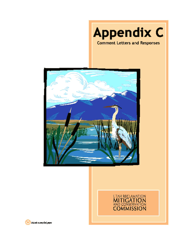





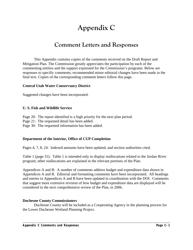# **Appendix C**

## **Comment Letters and Responses**

This Appendix contains copies of the comments received on the Draft Report and Mitigation Plan. The Commission greatly appreciates the participation by each of the commenting entities and the support expressed for the Commission's programs. Below are responses to specific comments; recommended minor editorial changes have been made in the final text. Copies of the corresponding comment letters follow this page.

#### **Central Utah Water Conservancy District**

Suggested changes have been incorporated.

#### **U. S. Fish and Wildlife Service**

Page 20: The report identified is a high priority for the next plan period.

Page 21: The requested detail has been added.

Page 30: The requested information has been added.

#### **Department of the Interior, Office of CUP Completion**

Pages 4, 7, 8, 24: Indexed amounts have been updated, and section authorities cited.

Table 1 (page 31): Table 1 is intended only to display reallocations related to the Jordan River program; other reallocations are explained in the relevant portions of the Plan.

Appendices A and B: A number of comments address budget and expenditure data shown in Appendices A and B. Editorial and formatting comments have been incorporated. All headings and entries in Appendices A and B have been updated in coordination with the DOI. Comments that suggest more extensive revision of how budget and expenditure data are displayed will be considered in the next comprehensive review of the Plan, in 2006.

#### **Duchesne County Commissioners**

 Duchesne County will be included as a Cooperating Agency in the planning process for the Lower Duchesne Wetland Planning Project.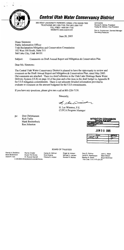

## **Central Utah Water Conservancy District**

355 WEST UNIVERSITY PARKWAY, OREM, UTAH 84058-7303 TELEPHONE (801) 226-7100, FAX (801) 226-7107 TOLL FREE 1-800-281-7103 WEBSITE www.cuwcd.com

**OFFICERS** Rondal R. McKee, President Harley M. Gillman, Vice President

Don A. Christiansen, General Manager Secretary/Treasurer

June 28, 2005

Diane Simmons **Public Information Officer** Utah Reclamation Mitigation and Conservation Commission 102 West 500 South, Suite 315 Salt Lake City, Utah 84101

Subject: Comments on Draft Annual Report and Mitigation & Conservation Plan

Dear Ms. Simmons:

The Central Utah Water Conservancy District is pleased to have the opportunity to review and comment on the Draft Annual Report and Mitigation & Conservation Plan, dated May 2005. Our comments are attached. There is a brief reference to the Utah Lake Drainage Basin Water Delivery System (ULS) on page 10 of the plan and a line item in the draft budget in Appendix B for ULS mitigation commitments. There is not adequate detailed information provided to evaluate or comment on the amount budgeted for the ULS commitments.

If you have any questions, please give me a call at 801-226-7139.

Sincerely,

of , See Domina

H. Lee Wimmer, P.E. **CUPCA Program Manager** 

Don Christiansen pc: **Rich Tullis** Mark Breitenbach Ron Johnston

**MITIGATION COMMISSION OFFICIAL FI** BSIFICATION PROJECT

**JUN 3 0 2005** 



Randy A. Brailsford **Brent Brotherson** David R. Cox

Randy Crozier Evans Tim Doxey R. Roscoe Garrett I:\1B\1B02\1B02029\2005\A062805M.doc

**BOARD OF TRUSTEES** Harley M. Gillman

Enid Greene

Claude R. Hicken

Roger W. Hicken Michael H. Jensen Rondal R. McKee

Gary D. Palmer John L. West David R. Rasmussen Mark Wilson Stanley R. Smith Boyd Workman File Code: 1.H.13.076.Z9.139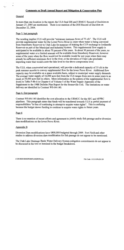#### Comments on Draft Annual Report and Mitigation & Conservation Plan

#### General

In more than one location in the report, the ULS final EIS and URMCC Record of Decision on January 27, 2005 are mentioned. There is no mention of the DOI Record of Decision on December 22, 2004.

#### Page 3, last paragraph

The wording implies ULS will provide "minimum instream flows of 75 cfs". The ULS will provide supplemental water for the Lower Provo River in years when water is being conveyed from Strawberry Reservoir to Utah Lake for purposes of making the CUP exchange to Jordanelle Reservoir as part of the Municipal and Industrial System. This supplemental flow supply is anticipated to be available in about 70 percent of the years. In about 30 percent of the years, no supplemental water or a limited amount will be available from Strawberry Reservoir, however some of the years when the flow would not be available would be wet years when there may already be sufficient minimum flow in the river, or the elevation of Utah Lake precludes importing water that would cause the lake level to rise above compromise level.

The ULS, when constructed and operational, will provide a dedicated capacity of 35 cfs in the peak summer months to convey supplemental flow for the lower Provo River. Additional flow capacity may be available on a space available basis, subject to municipal water supply demands. The average water supply of 16,000 acre-feet from the ULS ranges from zero in some years to as much as 34,000 acre-feet in others. More information on the pattern of the supplemental flow is found in Table P-8b-ii in Chapter 6 of Volume 5 of the Water Supply Appendix of the Supplement to the 1988 Definite Plan Report for the Bonneville Unit. The limitations on water delivery are identified in Contract WS-04-140.

#### Page 4, first paragraph

Contract WS-04-140 identifies the cost allocation to the URMCC for the SFC and SFPRC pipelines. This paragraph states that funds will be transferred towards ULS in partial payment of responsibilities "in lieu of continuing to attempt to acquire water rights". This is confusing because the budget shows funding to continue to acquire water rights in future years.

#### Page 6

There is no mention of recent efforts and agreement to jointly study fish passage and/or diversion dam modifications on the lower Provo River.

#### Appendix B

Diversion Dam modifications have \$800,000 budgeted through 2009. Fort Field and other studies to address diversion dam modification for fish passage do not appear to be mentioned.

The Utah Lake Drainage Basin Water Delivery System mitigation commitments do not appear to be discussed in the text or itemized in the budget breakdown.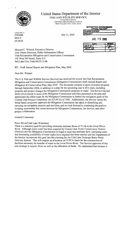

#### United States Department of the Interior FISH AND WILDLIFE SERVICE

**UTAH FIELD OFFICE** 2369 WEST ORTON CIRCLE, SUITE 50 WEST VALLEY CITY, UTAH 84119

> **CLASSIFICATION** PROJECT July 11, 2005

**JUL 13 2005** 

**MITIGATION COMMISSION** OFFICIAL FILE COPY

|        | mus                                 |
|--------|-------------------------------------|
| MC D I | $\eta_{\mathscr{L}\!\!\mathscr{L}}$ |
| MC/2   |                                     |
|        |                                     |

Michael C. Weland, Executive Director Attn: Diane Simmons, Public Information Officer Utah Reclamation Mitigation and Conservation Commission 102 West 500 South, Suite 315 Salt Lake City, Utah 84101-3148

RE: Draft Annual Report and Mitigation Plan, May 2005

Dear Mr. Weland:

The U.S. Fish and Wildlife Service (Service) has received for review the Utah Reclamation Mitigation and Conservation Commission (Mitigation Commission) Draft Annual Report and Mitigation & Conservation Plan, May 2005. The document contains a report of project progress through September 2004, in addition to a plan for the upcoming year to five years, including program and project changes the Mitigation Commission proposes to make. The Service has had direct involvement in most of the Mitigation Commission activities presented in the plan and appreciates the effort made by the Mitigation Commission to further the mitigation goals of the Central Utah Project Completion Act (CUPCA) of 1992. Additionally, the Service values the broad based ecosystem approach the Mitigation Commission has taken in identifying and carrying out mitigation projects and activities, and we look forward to continuing the positive working relationship that exists between the Mitigation Commission, the Service, and other project collaborators.

#### **General Comments**

#### Provo River/Utah Lake Watershed

There is a statutory goal for providing minimum instream flows of 75 cfs in the lower Provo River. Although some water has been acquired by Central Utah Water Conservancy District (District) and the Mitigation Commission to begin to meet this instream flow, increasing costs and decreasing availability of water rights have required that these entities and the Department of the Interior incorporate this goal into the planning for the Utah Lake Drainage Basin Water Delivery System. This will require an allocation of CUPCA funds for the construction of facilities necessary for transfer of water to the lower Provo River. The Service approves of this new strategy to acquire flows as well as the allocation of funds. We understand that because it

In Reply Refer To FWS/R6 ES/UT 05-0818

 $\bullet$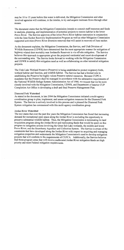may be 10 to 15 years before this water is delivered, the Mitigation Commission and other involved agencies will continue, in the interim, to try and acquire instream flows through other means.

The document states that the Mitigation Commission intends to commit staff resources and funds to analysis, planning, and implementation of potential projects to restore habitat in the lower Provo River. The Service approves of the lower Provo River habitat restoration in conjunction with the June Sucker Recovery Implementation Program as well as other Mitigation Commission supported activities (Provo River diversion removal) that will assist in recovery of June sucker.

As the document explains, the Mitigation Commission, the Service, and Utah Division of Wildlife Resources (UDWR) have determined that the most appropriate manner for mitigation of highway related deer mortality near Jordanelle Reservoir is via off-site mitigation. The Service believes this approach is appropriate given the projected residential and resort development of the surrounding area. The Service looks forward to working with the Mitigation Commission and UDWR to satisfy this mitigation need as well as collaborating on other terrestrial mitigation projects.

The Utah Lake Wetland Preserve (Preserve) is being established to protect migratory birds, wetland habitat and function, and wildlife habitat. The Service has had a limited role in establishing the Preserve but highly values Preserve natural resources. Because CUPCA mandates that the Preserve shall be managed in accordance with the substantive requirements of the National Wildlife Refuge System Administration Act of 1966, we request that we be more closely involved with the Mitigation Commission, UDWR, and Department of Interior CUP Completion Act Office in developing a draft and final Preserve Management Plan.

#### Diamond Fork Watershed

As stated in the document, in late 2004 the Mitigation Commission initiated a multi-agency coordination group to plan, implement, and assess mitigation measures for the Diamond Fork System. The Service is actively involved in this process and is pleased the Diamond Fork System mitigation has commenced with this multi-agency coordination group.

#### Jordan River Watershed

The text states that over the past few years the Mitigation Commission has found that increasing demand for recreational open space along the Jordan River is excluding the opportunity to preserve substantial wildlife habitat. Thus, the Mitigation Commission is terminating its land acquisition program along the Jordan River and reallocating funds that would be spent on this program to mitigation actions involving the Great Salt Lake wetlands, the middle and lower Provo River, and the Strawberry Aqueduct and Collection System. The Service is aware of the constraints that have developed along the Jordan River with respect to acquiring and managing mitigation properties and understands the Mitigation Commission's need to develop mitigation projects that will conform to the requirements of CUPCA. Additionally, the Service believes that those program areas that will receive reallocated Jordan River mitigation funds are high priority and meet Federal mitigation requirements.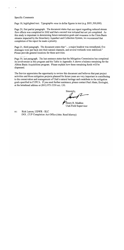#### Specific Comments

 $\mathcal{L}^{\pm}$ 

 $\ddot{\phantom{a}}$ 

Page 18, highlighted text. Typographic error in dollar figures in text (e.g. \$951,300,000).

Page 20, first partial paragraph. The document states that one report regarding reduced stream flow effects was completed in 2002 and that a second was initiated but not yet completed. As this study is important in determining future restoration goals and measures in the Uinta Basin streams impacted by the Strawberry Aqueduct and Collection System, we recommend that completion of the report be made a priority.

Page 21, third paragraph. The document states that "... a major headcut was remediated, five drainages were put back into their natural channels, and several wetlands were stabilized." Please provide general locations for these activities.

Page 30, last paragraph. The last sentence states that the Mitigation Commission has completed its involvement in this program and the Table in Appendix A shows a balance remaining for the Albion Basin Acquisitions program. Please explain how these remaining funds will be dispensed.

The Service appreciates the opportunity to review this document and believes that past project activities and those mitigation projects planned for future years are very important in contributing to the conservation and management of Utah's natural heritage and contribute to the mitigation goals specified in CUPCA. If you need further assistance, please contact Paul Abate, Ecologist, at the letterhead address or (801) 975-3330 ext. 130.

Sincerely, humb2

Henry R. Maddux **Utah Field Supervisor** 

cc: Rick Larson, UDWR - SLC DOI CUP Completion Act Office (Attn: Reed Murray)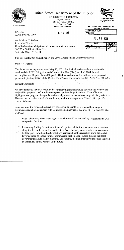

## United States Department of the Interior

OFFICE OF THE SECRETARY Program Director **CUP Completion Act Office** 302 East 1860 South Provo, Utah 84606-7317

 $JUL$  1 2 2005



IN REPLY REFER TO

 $CA-1300$ ADM-2.00/PRJ-2.00

Mr. Michael C. Weland **Executive Director** Utah Reclamation Mitigation and Conservation Commission 102 West 500 South, Suite 315 Salt Lake City, UT 84101

| <b>MITIGATION COMMISSION</b><br>OFFICIAL FILE COPY |  |
|----------------------------------------------------|--|
| CLASSIFICATION                                     |  |
| <b>I PROJECT</b>                                   |  |

**JUL 15 2005** 

| CODE | INITIALS |
|------|----------|
| MCO/ | Kla      |
| 22   |          |
|      |          |

Subject: Draft 2004 Annual Report and 2005 Mitigation and Conservation Plan

Dear Mr. Weland:

This letter replies to your notice of May 12, 2005, that invited review and comment on the combined draft 2005 Mitigation and Conservation Plan (Plan) and draft 2004 Annual Accomplishment Report (Annual Report). The Plan and Annual Report have been prepared pursuant to Section 301(g) of the Central Utah Project Completion Act (CUPCA; P.L. 102-575).

#### **General Comments**

We have reviewed the draft report and accompanying financial tables in detail and we note the major shifts proposed in Commission emphasis and funding allocations. Your efforts to highlight these program changes for reviewers by means of shaded text are particularly effective. However, we note that not all of these funding reallocations appear in Table 1. See specific comments below.

In our opinion, the proposed redirections of program appear to be warranted by changing circumstances and are consistent with Commission authorities at Sections 301(f)2 and 301(h) of  $CIIPCA:$ 

- 1. Utah Lake/Provo River water rights acquisitions will be replaced by investments in CUP completion facilities.
- 2. Remaining funding for wetlands, fish and riparian habitat improvements and recreation along the Jordan River will be reallocated. We reluctantly concur with your assessment
- مبهج<br>ا that the press for urban development and associated public recreation along the Jordan River corridor no longer justifies Commission participation. Logic dictates that local governments should lead in planning, and funding, the high intensity public uses that will be demanded of this corridor in the future.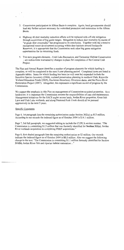- 3. Commission participation in Albion Basin is complete. Again, local governments should lead any further actions necessary for watershed protection and restoration in the Albion Basin.
- 4. Highway 40 deer mortality reduction efforts will be replaced with off-site mitigation through acquisition of big game ranges. Mitigation to reduce deer mortality by means of "at grade deer crosswalks" has progressed to its conclusion. Together with the extensive recreational resort development occurring within deer habitats around Jordanelle Reservoir, it is appropriate that the Commission seek other big game mitigation opportunities for its remaining funds.
- 5. Two new program elements Utah Lake Recreation, and Terrestrial Habitat Conservation - are redirections warranted by changes in plans for completion of the Central Utah Project.

The Plan and Annual Report identifies a number of program elements for which funding is complete, or will be completed in the next 5-year planning period. Completed items are listed in Appendix tables. Items for which funding has been (or will soon be) expended include the Sensitive Species Inventory (2006), wetland preservation planning in northern Utah, Kaysville Wetland Education Ponds (2005), Duchesne-Strawberry Diversion dams, and the Provo River Restoration Project (2007). Altogether, this represents a significant record of progress by the Commission.

We support the emphasis in this Plan on management of Commission-acquired properties. As a landowner, it is important the Commission assume the responsibilities of care and maintenance. Management initiatives for the SACS angler access lands, Jordan River properties, Great Salt Lake and Utah Lake wetlands, and along Diamond Fork Creek should all be pursued aggressively in the next 5 years.

#### Specific Comments

 $\label{eq:2} \frac{1}{\sqrt{2}}\int_{0}^{\frac{\pi}{2}}\int_{0}^{\frac{\pi}{2}}\left(\frac{1}{\sqrt{2}}\right)^{2}e^{-\frac{\pi}{2}}\left(\frac{\pi}{2}\right)^{2}e^{-\frac{\pi}{2}}\left(\frac{\pi}{2}\right)^{2}e^{-\frac{\pi}{2}}.$  $\label{eq:2} \mathbf{e}^{(i)}_{\mathbf{e}} = \mathbf{e}^{(i)}_{\mathbf{e}} \mathbf{e}^{(i)}_{\mathbf{e}} \mathbf{e}^{(i)}_{\mathbf{e}}$ 

Page 4, 1st paragraph lists the remaining authorization under Section 302(a) as \$13 million. According to our records the indexed figure as of October 2004 is \$14.1 million.

Page 7, 3rd full paragraph, we suggested editing to include the CUPCA section number. "The Commission is committing \$1.5 million that was formerly identified for Section 311(c), Jordan River wetlands acquisition to completing PRRP acquisitions."

Page 8, first shaded paragraph lists the remaining authorization as \$2 million. Our records indicate the indexed figure as of October 2004 is \$1.1 million. Also we suggest the following change to the text. "The Commission is committing \$1.1 million formerly identified for Section 311(b), Jordan River fish and riparian habitat restoration..."

 $\overline{2}$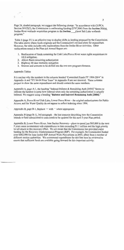Page 24, shaded paragraph, we suggest the following change. "In accordance with CUPCA Section 301(f)(2), the Commission is reallocating funding (\$797,900) from the Section 311(c). Jordan River wetlands acquisition program to the Section Great Salt Lake wetlands program."

Table 1 (page 31) is an effective way to display shifts in funding proposed by the Commission. The table shows where funds originate and the Commission's revised plans for expenditure. However, the table includes only reallocations from the Jordan River activities. Other reallocations noted in the Plan and Annual Report are:

- 1. Reallocation of funds remaining for Utah Lake/Provo River water rights acquisitions to ULS mitigation.
- 2. Albion Basin remaining authorization
- 3. Highway 40 deer mortality mitigation
- 4. Sources and amounts to be shifted into the two new program elements.

#### Appendix Tables

 $\vec{v}$ 

It is unclear why the numbers in the columns headed "Committed Funds FY 1994-2004" in Appendix A and "FY 94-04 Prior Years" in Appendix B are not identical. These columns purport to show the same expenditures and should contain the same numbers.

Appendix A, page A-1, the heading "Indexed Balance & Remaining Auth [2004]" Seems to indicate the balance is some how indexed when only the remaining authorization is actually indexed. We suggest using a heading "Balance and Indexed Remaining Auth [2004]."

Appendix A, Provo River/Utah Lake, Lower Provo River – the original authorizations for Public Access, and for Water Quality do not appear to reflect indexing since 1994.

Appendix B, page B-1, Replace = with  $\cdot$  where appropriate.

Appendix B (page B-1), 3rd paragraph – the last sentence describing how the Commission intends to fund administrative costs needs to be updated for this next 5-year Plan period.

Appendix B, Lower Provo River, June Sucker Recovery – plans to spend just \$65,000 in the next 5 years seem inconsistent with expenditures to date exceeding \$1.1 million and the high priority we all attach to this recovery effort. We are aware that the Commission has provided major funding for the Recovery Implementation Program (RIP). For example, the Commission funded over \$482,000 for June sucker RIP Annual Work Plan actions in 2005, albeit from a number of different section authorities. We recommend expenditures for this line item be reviewed to ensure that sufficient funds are available going forward for this important activity.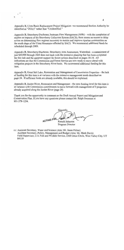Appendix B, Uinta Basin Replacement Project Mitigation – we recommend Section Authority be identified as "202(c)" rather than "Unidentified."

Appendix B, Strawberry/Duchesne, Instream Flow Management (309b) – with the completion of studies on impacts of the Strawberry Collection System (SACS), there seems no reason to delay action on determining flow regimes necessary to sustain and improve riparian communities on the south slope of the Uinta Mountains affected by SACS. We recommend additional funds be scheduled through 2009.

Appendix B, Strawberry/Duchesne, Strawberry Area Assessment, Watershed – a commitment of just \$40,000 through 2009 does not track with the extensive planning that has been completed for this task and the apparent support for future actions described on pages 18-19. All indications are that the Commission and Forest Service are now ready to move ahead with mitigation projects in the Strawberry River basin. We recommend additional funding for this item.

Appendix B, Great Salt Lake, Restoration and Management of Commission Properties – the lack of funding for this item is at variance with the extensive management needs described on page 24. If sufficient funds are already available, this should be explained.

Appendix B, Jordan River, Restoration and Management – the zero funding level for this item is at variance with Commission commitments to move forward with management of 3 properties already acquired along the Jordan River (page 29).

Thank you for the opportunity to comment on the Draft Annual Report and Mitigation and Conservation Plan. If you have any questions please contact Mr. Ralph Swanson at 801-379-1254.

Sincerely ACTING FOR Ronald Johnston

Program Director

cc: Assistant Secretary, Water and Science (Attn: Mr. Jason Peltier) Assistant Secretary, Policy, Management and Budget (Attn: Mr. Mark Davis) Field Supervisor, U.S. Fish and Wildlife Service, 2369 Orton Circle, West Valley City, UT 84119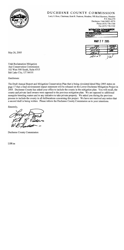

## DUCHESNE COUNTY COMMISSION

Larry S. Ross, Chairman; Kent R. Peatross, Member; WR Rod Harrison, Member P.O. Box 270 Duchesne, Utah 84021-0270 Phone (435) 738-1100 Fax (435) 738-5522

> **MITIOATION COMMESION CLASSIFICATION PROJECT**



May 26, 2005

Utah Reclamation Mitigation And Conservation Commission 102 West 500 South, Suite #315 Salt Lake City, UT 84101

Gentlemen:

The Draft Annual Report and Mitigation Conservation Plan that is being circulated dated May 2005 states on page 17 that a final environment impact statement will be released on the Lower Duchesne Mitigation Project in 2005. Duchesne County has asked your office to include the county in the mitigation plan. You will recall, the county and private land owners were opposed to the previous mitigation plan. We are opposed to additional mosquito breeding waters and to any initiative to take private property. We asked you during the previous process to include the county in all deliberations concerning this project. We have not received any notice that a second draft is being written. Please inform the Duchesne County Commission as to your intentions.

Sincerely,

**Duchesne County Commission** 

LSR/aa